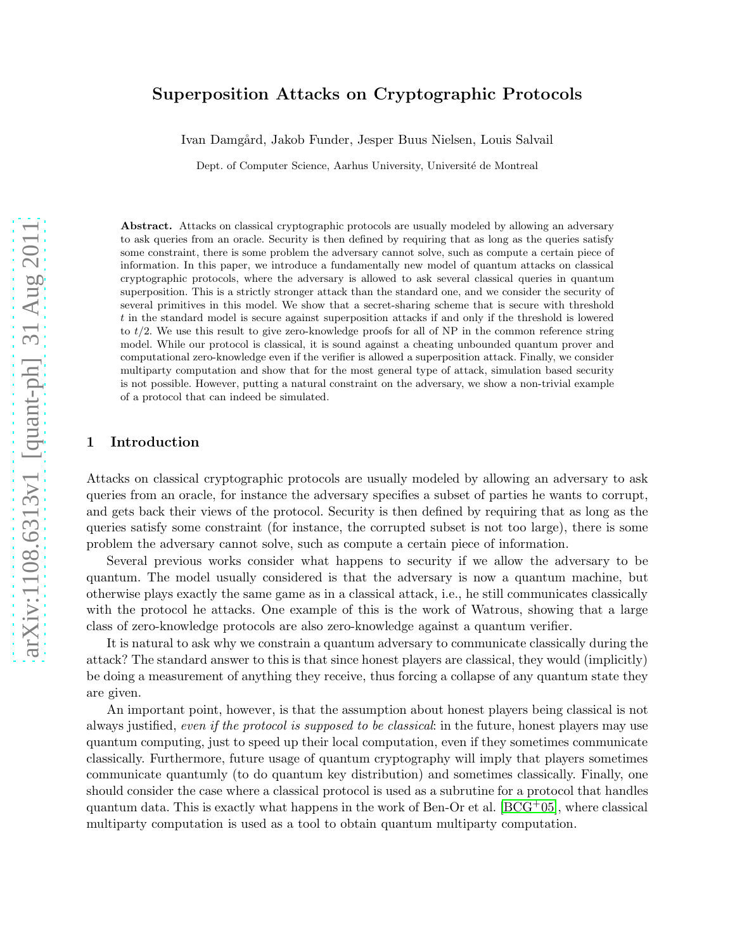# arXiv:1108.6313v1 [quant-ph] 31 Aug 2011 [arXiv:1108.6313v1 \[quant-ph\] 31 Aug 2011](http://arxiv.org/abs/1108.6313v1)

# Superposition Attacks on Cryptographic Protocols

Ivan Damgård, Jakob Funder, Jesper Buus Nielsen, Louis Salvail

Dept. of Computer Science, Aarhus University, Université de Montreal

Abstract. Attacks on classical cryptographic protocols are usually modeled by allowing an adversary to ask queries from an oracle. Security is then defined by requiring that as long as the queries satisfy some constraint, there is some problem the adversary cannot solve, such as compute a certain piece of information. In this paper, we introduce a fundamentally new model of quantum attacks on classical cryptographic protocols, where the adversary is allowed to ask several classical queries in quantum superposition. This is a strictly stronger attack than the standard one, and we consider the security of several primitives in this model. We show that a secret-sharing scheme that is secure with threshold t in the standard model is secure against superposition attacks if and only if the threshold is lowered to  $t/2$ . We use this result to give zero-knowledge proofs for all of NP in the common reference string model. While our protocol is classical, it is sound against a cheating unbounded quantum prover and computational zero-knowledge even if the verifier is allowed a superposition attack. Finally, we consider multiparty computation and show that for the most general type of attack, simulation based security is not possible. However, putting a natural constraint on the adversary, we show a non-trivial example of a protocol that can indeed be simulated.

# 1 Introduction

Attacks on classical cryptographic protocols are usually modeled by allowing an adversary to ask queries from an oracle, for instance the adversary specifies a subset of parties he wants to corrupt, and gets back their views of the protocol. Security is then defined by requiring that as long as the queries satisfy some constraint (for instance, the corrupted subset is not too large), there is some problem the adversary cannot solve, such as compute a certain piece of information.

Several previous works consider what happens to security if we allow the adversary to be quantum. The model usually considered is that the adversary is now a quantum machine, but otherwise plays exactly the same game as in a classical attack, i.e., he still communicates classically with the protocol he attacks. One example of this is the work of Watrous, showing that a large class of zero-knowledge protocols are also zero-knowledge against a quantum verifier.

It is natural to ask why we constrain a quantum adversary to communicate classically during the attack? The standard answer to this is that since honest players are classical, they would (implicitly) be doing a measurement of anything they receive, thus forcing a collapse of any quantum state they are given.

An important point, however, is that the assumption about honest players being classical is not always justified, even if the protocol is supposed to be classical: in the future, honest players may use quantum computing, just to speed up their local computation, even if they sometimes communicate classically. Furthermore, future usage of quantum cryptography will imply that players sometimes communicate quantumly (to do quantum key distribution) and sometimes classically. Finally, one should consider the case where a classical protocol is used as a subrutine for a protocol that handles quantum data. This is exactly what happens in the work of Ben-Or et al.  $[BCG^+05]$ , where classical multiparty computation is used as a tool to obtain quantum multiparty computation.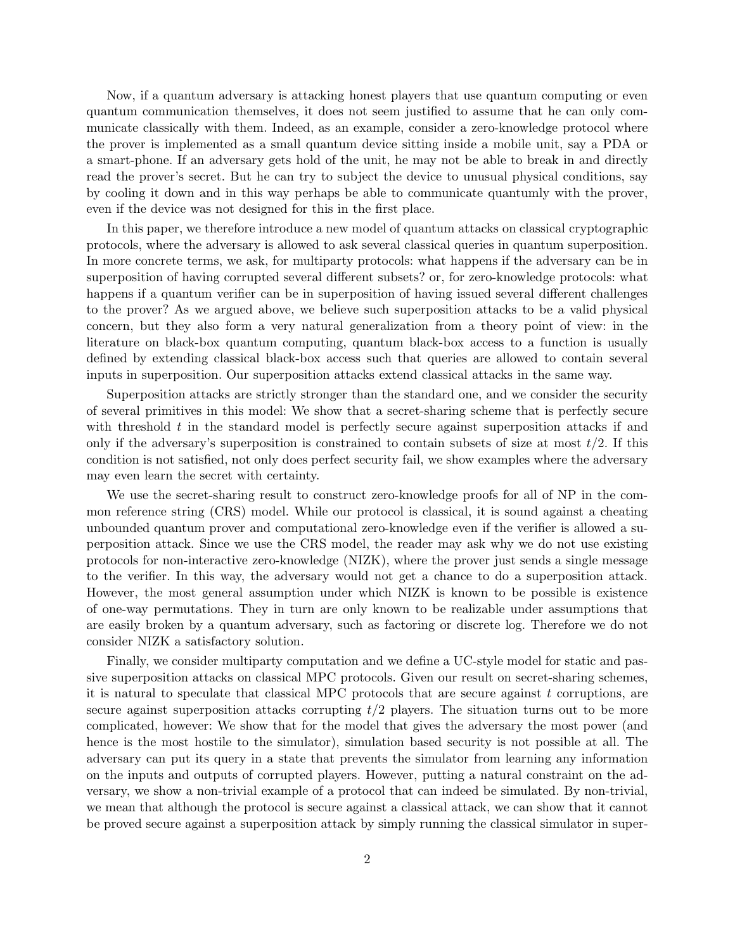Now, if a quantum adversary is attacking honest players that use quantum computing or even quantum communication themselves, it does not seem justified to assume that he can only communicate classically with them. Indeed, as an example, consider a zero-knowledge protocol where the prover is implemented as a small quantum device sitting inside a mobile unit, say a PDA or a smart-phone. If an adversary gets hold of the unit, he may not be able to break in and directly read the prover's secret. But he can try to subject the device to unusual physical conditions, say by cooling it down and in this way perhaps be able to communicate quantumly with the prover, even if the device was not designed for this in the first place.

In this paper, we therefore introduce a new model of quantum attacks on classical cryptographic protocols, where the adversary is allowed to ask several classical queries in quantum superposition. In more concrete terms, we ask, for multiparty protocols: what happens if the adversary can be in superposition of having corrupted several different subsets? or, for zero-knowledge protocols: what happens if a quantum verifier can be in superposition of having issued several different challenges to the prover? As we argued above, we believe such superposition attacks to be a valid physical concern, but they also form a very natural generalization from a theory point of view: in the literature on black-box quantum computing, quantum black-box access to a function is usually defined by extending classical black-box access such that queries are allowed to contain several inputs in superposition. Our superposition attacks extend classical attacks in the same way.

Superposition attacks are strictly stronger than the standard one, and we consider the security of several primitives in this model: We show that a secret-sharing scheme that is perfectly secure with threshold  $t$  in the standard model is perfectly secure against superposition attacks if and only if the adversary's superposition is constrained to contain subsets of size at most  $t/2$ . If this condition is not satisfied, not only does perfect security fail, we show examples where the adversary may even learn the secret with certainty.

We use the secret-sharing result to construct zero-knowledge proofs for all of NP in the common reference string (CRS) model. While our protocol is classical, it is sound against a cheating unbounded quantum prover and computational zero-knowledge even if the verifier is allowed a superposition attack. Since we use the CRS model, the reader may ask why we do not use existing protocols for non-interactive zero-knowledge (NIZK), where the prover just sends a single message to the verifier. In this way, the adversary would not get a chance to do a superposition attack. However, the most general assumption under which NIZK is known to be possible is existence of one-way permutations. They in turn are only known to be realizable under assumptions that are easily broken by a quantum adversary, such as factoring or discrete log. Therefore we do not consider NIZK a satisfactory solution.

Finally, we consider multiparty computation and we define a UC-style model for static and passive superposition attacks on classical MPC protocols. Given our result on secret-sharing schemes, it is natural to speculate that classical MPC protocols that are secure against  $t$  corruptions, are secure against superposition attacks corrupting  $t/2$  players. The situation turns out to be more complicated, however: We show that for the model that gives the adversary the most power (and hence is the most hostile to the simulator), simulation based security is not possible at all. The adversary can put its query in a state that prevents the simulator from learning any information on the inputs and outputs of corrupted players. However, putting a natural constraint on the adversary, we show a non-trivial example of a protocol that can indeed be simulated. By non-trivial, we mean that although the protocol is secure against a classical attack, we can show that it cannot be proved secure against a superposition attack by simply running the classical simulator in super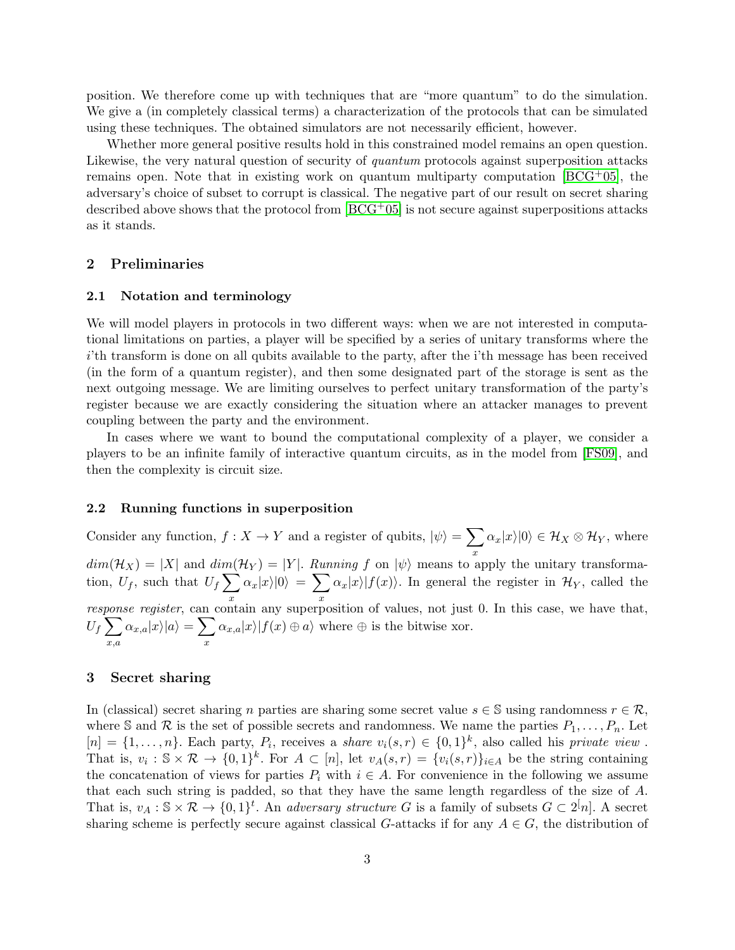position. We therefore come up with techniques that are "more quantum" to do the simulation. We give a (in completely classical terms) a characterization of the protocols that can be simulated using these techniques. The obtained simulators are not necessarily efficient, however.

Whether more general positive results hold in this constrained model remains an open question. Likewise, the very natural question of security of *quantum* protocols against superposition attacks remains open. Note that in existing work on quantum multiparty computation  $[BCG^+05]$ , the adversary's choice of subset to corrupt is classical. The negative part of our result on secret sharing described above shows that the protocol from  $[BCG^+05]$  is not secure against superpositions attacks as it stands.

# 2 Preliminaries

#### 2.1 Notation and terminology

We will model players in protocols in two different ways: when we are not interested in computational limitations on parties, a player will be specified by a series of unitary transforms where the ith transform is done on all qubits available to the party, after the i'th message has been received (in the form of a quantum register), and then some designated part of the storage is sent as the next outgoing message. We are limiting ourselves to perfect unitary transformation of the party's register because we are exactly considering the situation where an attacker manages to prevent coupling between the party and the environment.

In cases where we want to bound the computational complexity of a player, we consider a players to be an infinite family of interactive quantum circuits, as in the model from [\[FS09\]](#page-28-1), and then the complexity is circuit size.

#### 2.2 Running functions in superposition

Consider any function,  $f: X \to Y$  and a register of qubits,  $|\psi\rangle = \sum$ x  $\alpha_x|x\rangle|0\rangle \in \mathcal{H}_X\otimes\mathcal{H}_Y,$  where  $dim(\mathcal{H}_X) = |X|$  and  $dim(\mathcal{H}_Y) = |Y|$ . Running f on  $|\psi\rangle$  means to apply the unitary transformation,  $U_f$ , such that  $U_f \sum$ x  $\alpha_x |x\rangle |0\rangle \ = \ \sum$ x  $\alpha_x|x\rangle|f(x)\rangle$ . In general the register in  $\mathcal{H}_Y$ , called the response register, can contain any superposition of values, not just 0. In this case, we have that,  $U_f\sum$ x,a  $\alpha_{x,a}|x\rangle|a\rangle = \sum$ x  $\alpha_{x,a}|x\rangle|f(x) \oplus a\rangle$  where  $\oplus$  is the bitwise xor.

# 3 Secret sharing

In (classical) secret sharing n parties are sharing some secret value  $s \in \mathbb{S}$  using randomness  $r \in \mathcal{R}$ , where S and R is the set of possible secrets and randomness. We name the parties  $P_1, \ldots, P_n$ . Let  $[n] = \{1, \ldots, n\}$ . Each party,  $P_i$ , receives a share  $v_i(s, r) \in \{0, 1\}^k$ , also called his private view. That is,  $v_i : \mathbb{S} \times \mathcal{R} \to \{0,1\}^k$ . For  $A \subset [n]$ , let  $v_A(s,r) = \{v_i(s,r)\}_{i \in A}$  be the string containing the concatenation of views for parties  $P_i$  with  $i \in A$ . For convenience in the following we assume that each such string is padded, so that they have the same length regardless of the size of A. That is,  $v_A : \mathbb{S} \times \mathcal{R} \to \{0,1\}^t$ . An *adversary structure* G is a family of subsets  $G \subset 2^{[n]}$ . A secret sharing scheme is perfectly secure against classical G-attacks if for any  $A \in G$ , the distribution of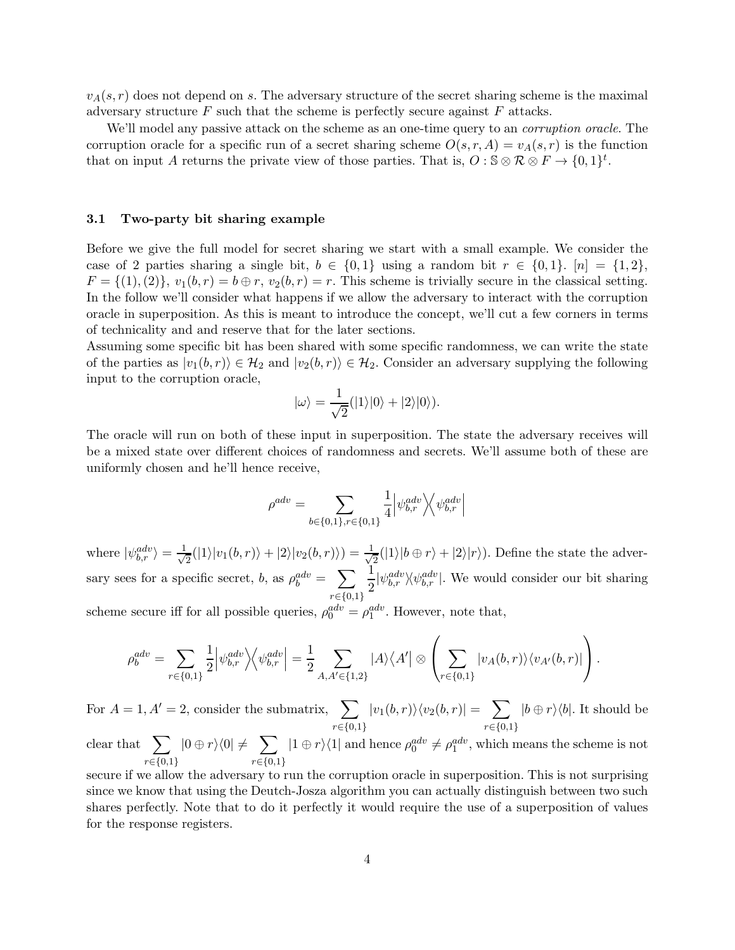$v_A(s, r)$  does not depend on s. The adversary structure of the secret sharing scheme is the maximal adversary structure  $F$  such that the scheme is perfectly secure against  $F$  attacks.

We'll model any passive attack on the scheme as an one-time query to an *corruption oracle*. The corruption oracle for a specific run of a secret sharing scheme  $O(s, r, A) = v_A(s, r)$  is the function that on input A returns the private view of those parties. That is,  $O : \mathbb{S} \otimes \mathcal{R} \otimes F \to \{0,1\}^t$ .

#### <span id="page-3-0"></span>3.1 Two-party bit sharing example

Before we give the full model for secret sharing we start with a small example. We consider the case of 2 parties sharing a single bit,  $b \in \{0,1\}$  using a random bit  $r \in \{0,1\}$ .  $[n] = \{1,2\}$ ,  $F = \{(1), (2)\}\text{, } v_1(b, r) = b \oplus r, v_2(b, r) = r.$  This scheme is trivially secure in the classical setting. In the follow we'll consider what happens if we allow the adversary to interact with the corruption oracle in superposition. As this is meant to introduce the concept, we'll cut a few corners in terms of technicality and and reserve that for the later sections.

Assuming some specific bit has been shared with some specific randomness, we can write the state of the parties as  $|v_1(b, r)\rangle \in \mathcal{H}_2$  and  $|v_2(b, r)\rangle \in \mathcal{H}_2$ . Consider an adversary supplying the following input to the corruption oracle,

$$
|\omega\rangle = \frac{1}{\sqrt{2}}(|1\rangle|0\rangle + |2\rangle|0\rangle).
$$

The oracle will run on both of these input in superposition. The state the adversary receives will be a mixed state over different choices of randomness and secrets. We'll assume both of these are uniformly chosen and he'll hence receive,

$$
\rho^{adv} = \sum_{b \in \{0,1\}, r \in \{0,1\}} \frac{1}{4} \left| \psi_{b,r}^{adv} \right\rangle \!\! \left\langle \psi_{b,r}^{adv} \right|
$$

where  $|\psi_{b,r}^{adv}\rangle = \frac{1}{\sqrt{2}}$  $\frac{1}{2}(|1\rangle|v_1(b,r)\rangle+|2\rangle|v_2(b,r)\rangle)=\frac{1}{\sqrt{2}}$  $\frac{1}{2}(|1\rangle|b \oplus r\rangle + |2\rangle|r\rangle)$ . Define the state the adversary sees for a specific secret, b, as  $\rho_b^{adv} = \sum$  $r \in \{0,1\}$ 1  $\frac{1}{2}|\psi_{b,r}^{adv}\rangle\langle \psi_{b,r}^{adv}|$ . We would consider our bit sharing scheme secure iff for all possible queries,  $\rho_0^{adv} = \rho_1^{adv}$ . However, note that,

$$
\rho_b^{adv} = \sum_{r \in \{0,1\}} \frac{1}{2} \left| \psi_{b,r}^{adv} \right| \left\langle \psi_{b,r}^{adv} \right| = \frac{1}{2} \sum_{A, A' \in \{1,2\}} |A\rangle \langle A'| \otimes \left( \sum_{r \in \{0,1\}} |v_A(b,r)\rangle \langle v_{A'}(b,r)| \right).
$$

For  $A = 1, A' = 2$ , consider the submatrix,  $\sum$  $r \in \{0,1\}$  $|v_1(b,r)\rangle\langle v_2(b,r)| = \sum$  $r \in \{0,1\}$  $|b \oplus r\rangle\langle b|$ . It should be clear that  $\sum$  $|0 \oplus r\rangle\langle 0| \neq \sum$  $|1 \oplus r\rangle\langle 1|$  and hence  $\rho_0^{adv} \neq \rho_1^{adv}$ , which means the scheme is not

 $r \in \{0,1\}$  $r \in \{0,1\}$ secure if we allow the adversary to run the corruption oracle in superposition. This is not surprising since we know that using the Deutch-Josza algorithm you can actually distinguish between two such shares perfectly. Note that to do it perfectly it would require the use of a superposition of values for the response registers.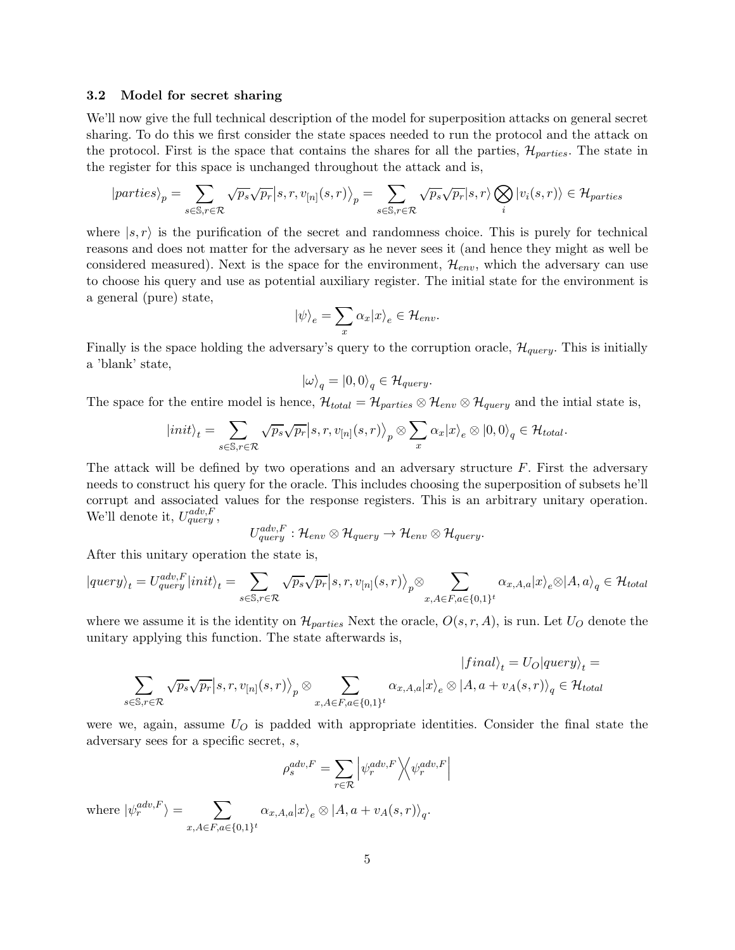# 3.2 Model for secret sharing

We'll now give the full technical description of the model for superposition attacks on general secret sharing. To do this we first consider the state spaces needed to run the protocol and the attack on the protocol. First is the space that contains the shares for all the parties,  $\mathcal{H}_{particles}$ . The state in the register for this space is unchanged throughout the attack and is,

$$
|particles\rangle_p = \sum_{s \in \mathbb{S}, r \in \mathcal{R}} \sqrt{p_s} \sqrt{p_r} |s, r, v_{[n]}(s, r)\rangle_p = \sum_{s \in \mathbb{S}, r \in \mathcal{R}} \sqrt{p_s} \sqrt{p_r} |s, r\rangle \bigotimes_i |v_i(s, r)\rangle \in \mathcal{H}_{particles}
$$

where  $|s, r\rangle$  is the purification of the secret and randomness choice. This is purely for technical reasons and does not matter for the adversary as he never sees it (and hence they might as well be considered measured). Next is the space for the environment,  $\mathcal{H}_{env}$ , which the adversary can use to choose his query and use as potential auxiliary register. The initial state for the environment is a general (pure) state,

$$
|\psi\rangle_e = \sum_x \alpha_x |x\rangle_e \in \mathcal{H}_{env}.
$$

Finally is the space holding the adversary's query to the corruption oracle,  $\mathcal{H}_{query}$ . This is initially a 'blank' state,

$$
|\omega\rangle_q = |0,0\rangle_q \in \mathcal{H}_{query}.
$$

The space for the entire model is hence,  $\mathcal{H}_{total} = \mathcal{H}_{particles} \otimes \mathcal{H}_{env} \otimes \mathcal{H}_{query}$  and the intial state is,

$$
|init\rangle_t = \sum_{s \in \mathbb{S}, r \in \mathcal{R}} \sqrt{p_s} \sqrt{p_r} |s, r, v_{[n]}(s, r)\rangle_p \otimes \sum_x \alpha_x |x\rangle_e \otimes |0, 0\rangle_q \in \mathcal{H}_{total}.
$$

The attack will be defined by two operations and an adversary structure  $F$ . First the adversary needs to construct his query for the oracle. This includes choosing the superposition of subsets he'll corrupt and associated values for the response registers. This is an arbitrary unitary operation. We'll denote it,  $U_{query}^{adv,F}$ ,

$$
U_{query}^{adv,F}: \mathcal{H}_{env} \otimes \mathcal{H}_{query} \rightarrow \mathcal{H}_{env} \otimes \mathcal{H}_{query}.
$$

After this unitary operation the state is,

$$
|query\rangle_t = U^{adv,F}_{query}|init\rangle_t = \sum_{s \in \mathbb{S}, r \in \mathcal{R}} \sqrt{p_s} \sqrt{p_r}|s, r, v_{[n]}(s, r)\rangle_p \otimes \sum_{x, A \in F, a \in \{0, 1\}^t} \alpha_{x, A, a}|x\rangle_e \otimes |A, a\rangle_q \in \mathcal{H}_{total}
$$

where we assume it is the identity on  $\mathcal{H}_{particles}$  Next the oracle,  $O(s, r, A)$ , is run. Let  $U_O$  denote the unitary applying this function. The state afterwards is,

$$
|final\rangle_t = U_O|query\rangle_t =
$$
  

$$
\sum_{s \in \mathbb{S}, r \in \mathcal{R}} \sqrt{p_s} \sqrt{p_r} |s, r, v_{[n]}(s, r)\rangle_p \otimes \sum_{x, A \in F, a \in \{0, 1\}^t} \alpha_{x, A, a} |x\rangle_e \otimes |A, a + v_A(s, r)\rangle_q \in \mathcal{H}_{total}
$$

were we, again, assume  $U_O$  is padded with appropriate identities. Consider the final state the adversary sees for a specific secret, s,

$$
\rho_s^{adv,F} = \sum_{r \in \mathcal{R}} \left| \psi_r^{adv,F} \right\rangle \!\! \left\langle \psi_r^{adv,F} \right|
$$

where  $|\psi_r^{adv,F}\rangle = \sum$  $\sum_{x, A \in F, a \in \{0,1\}^t} \alpha_{x, A, a} |x\rangle_e \otimes |A, a + v_A(s, r)\rangle_q.$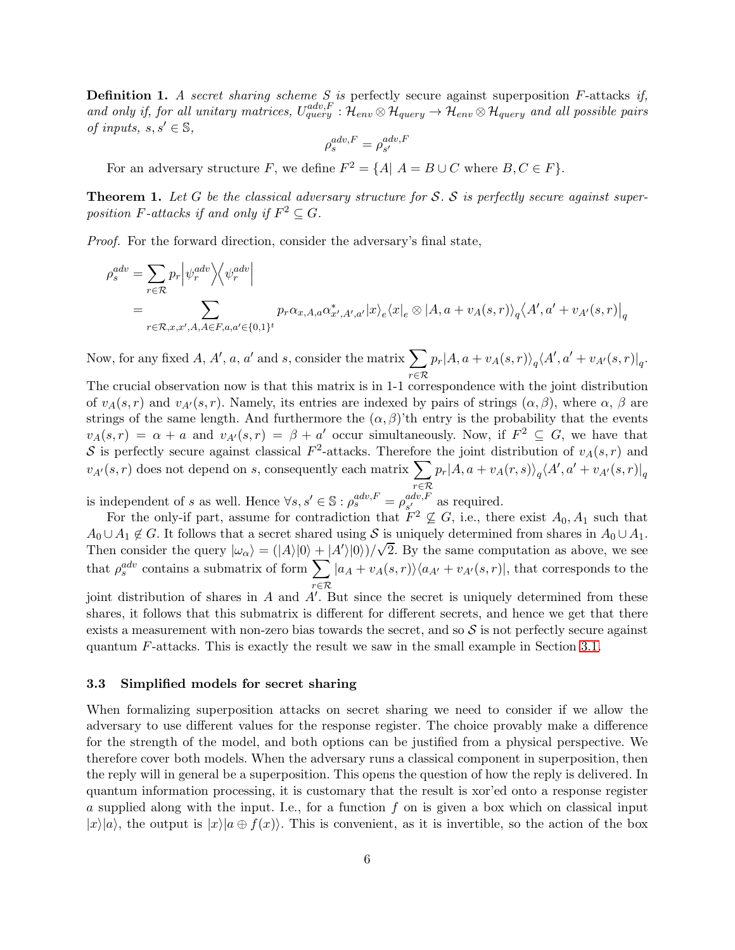**Definition 1.** A secret sharing scheme S is perfectly secure against superposition F-attacks if, and only if, for all unitary matrices,  $U_{query}^{adv,F}$  :  $\mathcal{H}_{env} \otimes \mathcal{H}_{query} \to \mathcal{H}_{query}$  and all possible pairs of inputs,  $s, s' \in \mathbb{S}$ ,

$$
\rho_s^{adv,F} = \rho_{s'}^{adv,F}
$$

<span id="page-5-0"></span>For an adversary structure F, we define  $F^2 = \{A | A = B \cup C \text{ where } B, C \in F\}.$ 

**Theorem 1.** Let G be the classical adversary structure for S. S is perfectly secure against superposition F-attacks if and only if  $F^2 \subseteq G$ .

Proof. For the forward direction, consider the adversary's final state,

$$
\rho_s^{adv} = \sum_{r \in \mathcal{R}} p_r \left| \psi_r^{adv} \right| \left\langle \psi_r^{adv} \right|
$$
\n
$$
= \sum_{r \in \mathcal{R}, x, x', A, A \in F, a, a' \in \{0, 1\}^t} p_r \alpha_{x, A, a} \alpha_{x', A', a'}^* |x\rangle_e \langle x|_e \otimes |A, a + v_A(s, r)\rangle_q \langle A', a' + v_{A'}(s, r)|_q
$$

Now, for any fixed A, A', a, a' and s, consider the matrix  $\sum$ r∈R  $p_r|A,a + v_A(s,r)\rangle_q \langle A',a' + v_{A'}(s,r)|_q.$ 

The crucial observation now is that this matrix is in 1-1 correspondence with the joint distribution of  $v_A(s,r)$  and  $v_{A'}(s,r)$ . Namely, its entries are indexed by pairs of strings  $(\alpha,\beta)$ , where  $\alpha,\beta$  are strings of the same length. And furthermore the  $(\alpha, \beta)$ 'th entry is the probability that the events  $v_A(s,r) = \alpha + a$  and  $v_{A}(s,r) = \beta + a'$  occur simultaneously. Now, if  $F^2 \subseteq G$ , we have that S is perfectly secure against classical  $F^2$ -attacks. Therefore the joint distribution of  $v_A(s,r)$  and  $v_{A'}(s,r)$  does not depend on s, consequently each matrix  $\sum$  $r \in \mathcal{R}$  $p_r|A,a+v_A(r,s)\rangle_q\langle A',a'+v_{A'}(s,r)|_q$ 

is independent of s as well. Hence  $\forall s, s' \in \mathbb{S} : \rho_s^{adv,F} = \rho_{s'}^{adv,F}$  $\int_{s'}^{aav,r}$  as required.

For the only-if part, assume for contradiction that  $F^2 \not\subseteq G$ , i.e., there exist  $A_0, A_1$  such that  $A_0 \cup A_1 \notin G$ . It follows that a secret shared using S is uniquely determined from shares in  $A_0 \cup A_1$ . Then consider the query  $|\omega_{\alpha}\rangle = (|\overline{A}\rangle|0\rangle + |\overline{A}\rangle|0\rangle)/\sqrt{2}$ . By the same computation as above, we see that  $\rho_s^{adv}$  contains a submatrix of form  $\sum$ r∈R  $|a_A + v_A(s,r)\rangle\langle a_{A'} + v_{A'}(s,r)|$ , that corresponds to the

joint distribution of shares in A and A′ . But since the secret is uniquely determined from these shares, it follows that this submatrix is different for different secrets, and hence we get that there exists a measurement with non-zero bias towards the secret, and so  $\mathcal S$  is not perfectly secure against quantum F-attacks. This is exactly the result we saw in the small example in Section [3.1.](#page-3-0)

#### 3.3 Simplified models for secret sharing

When formalizing superposition attacks on secret sharing we need to consider if we allow the adversary to use different values for the response register. The choice provably make a difference for the strength of the model, and both options can be justified from a physical perspective. We therefore cover both models. When the adversary runs a classical component in superposition, then the reply will in general be a superposition. This opens the question of how the reply is delivered. In quantum information processing, it is customary that the result is xor'ed onto a response register a supplied along with the input. I.e., for a function  $f$  on is given a box which on classical input  $|x\rangle|a\rangle$ , the output is  $|x\rangle|a \oplus f(x)\rangle$ . This is convenient, as it is invertible, so the action of the box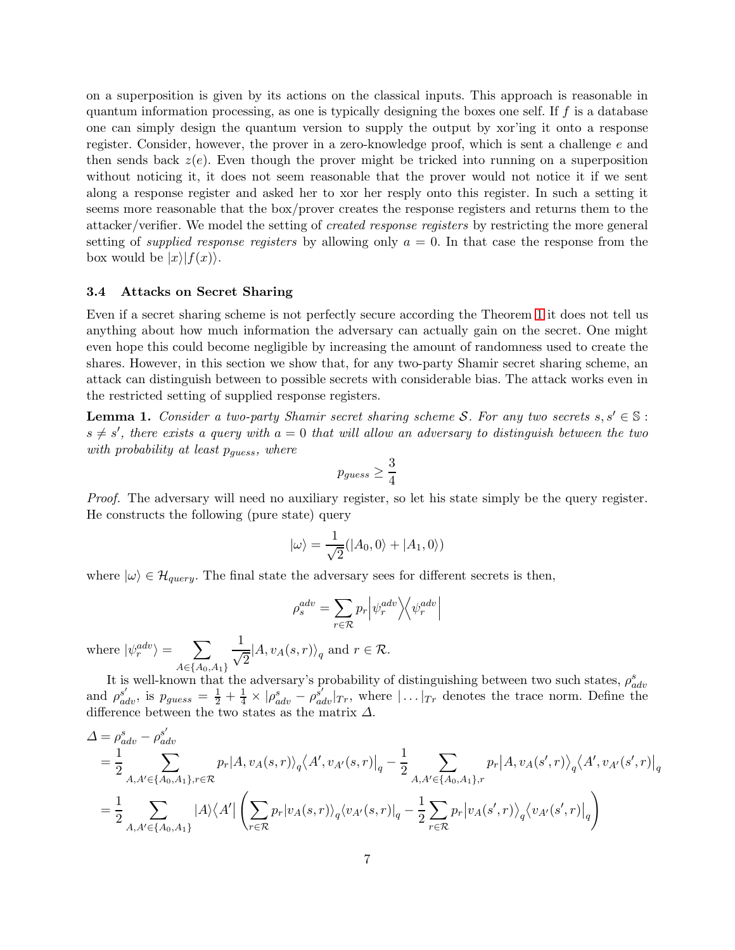on a superposition is given by its actions on the classical inputs. This approach is reasonable in quantum information processing, as one is typically designing the boxes one self. If  $f$  is a database one can simply design the quantum version to supply the output by xor'ing it onto a response register. Consider, however, the prover in a zero-knowledge proof, which is sent a challenge e and then sends back  $z(e)$ . Even though the prover might be tricked into running on a superposition without noticing it, it does not seem reasonable that the prover would not notice it if we sent along a response register and asked her to xor her resply onto this register. In such a setting it seems more reasonable that the box/prover creates the response registers and returns them to the attacker/verifier. We model the setting of created response registers by restricting the more general setting of *supplied response registers* by allowing only  $a = 0$ . In that case the response from the box would be  $|x\rangle|f(x)$ .

## 3.4 Attacks on Secret Sharing

Even if a secret sharing scheme is not perfectly secure according the Theorem [1](#page-5-0) it does not tell us anything about how much information the adversary can actually gain on the secret. One might even hope this could become negligible by increasing the amount of randomness used to create the shares. However, in this section we show that, for any two-party Shamir secret sharing scheme, an attack can distinguish between to possible secrets with considerable bias. The attack works even in the restricted setting of supplied response registers.

**Lemma 1.** Consider a two-party Shamir secret sharing scheme S. For any two secrets  $s, s' \in \mathbb{S}$ :  $s \neq s'$ , there exists a query with  $a = 0$  that will allow an adversary to distinguish between the two with probability at least  $p_{\text{guess}}$ , where

$$
p_{guess} \ge \frac{3}{4}
$$

Proof. The adversary will need no auxiliary register, so let his state simply be the query register. He constructs the following (pure state) query

$$
|\omega\rangle = \frac{1}{\sqrt{2}}(|A_0, 0\rangle + |A_1, 0\rangle)
$$

where  $|\omega\rangle \in \mathcal{H}_{query}$ . The final state the adversary sees for different secrets is then,

$$
\rho_s^{adv} = \sum_{r \in \mathcal{R}} p_r \left| \psi_r^{adv} \right\rangle \!\! \left\langle \psi_r^{adv} \right|
$$

where  $|\psi_r^{adv}\rangle = \sum$  $A \in \{A_0, A_1\}$ 1  $\frac{1}{\sqrt{2}}|A, v_A(s, r)\rangle_q$  and  $r \in \mathcal{R}$ .

It is well-known that the adversary's probability of distinguishing between two such states,  $\rho_{adv}^{s}$ and  $\rho_{adv}^{s'}$ , is  $p_{guess} = \frac{1}{2} + \frac{1}{4} \times |\rho_{adv}^s - \rho_{adv}^{s'}|_{Tr}$ , where  $|\dots|_{Tr}$  denotes the trace norm. Define the difference between the two states as the matrix  $\Delta$ .

$$
\begin{split} &\Delta = \rho_{adv}^{s} - \rho_{adv}^{s'} \\ &= \frac{1}{2} \sum_{A, A' \in \{A_0, A_1\}, r \in \mathcal{R}} p_r |A, v_A(s, r) \rangle_q \langle A', v_{A'}(s, r)|_q - \frac{1}{2} \sum_{A, A' \in \{A_0, A_1\}, r} p_r |A, v_A(s', r) \rangle_q \langle A', v_{A'}(s', r)|_q \\ &= \frac{1}{2} \sum_{A, A' \in \{A_0, A_1\}} |A\rangle \langle A' | \left( \sum_{r \in \mathcal{R}} p_r |v_A(s, r) \rangle_q \langle v_{A'}(s, r)|_q - \frac{1}{2} \sum_{r \in \mathcal{R}} p_r |v_A(s', r) \rangle_q \langle v_{A'}(s', r)|_q \right) \end{split}
$$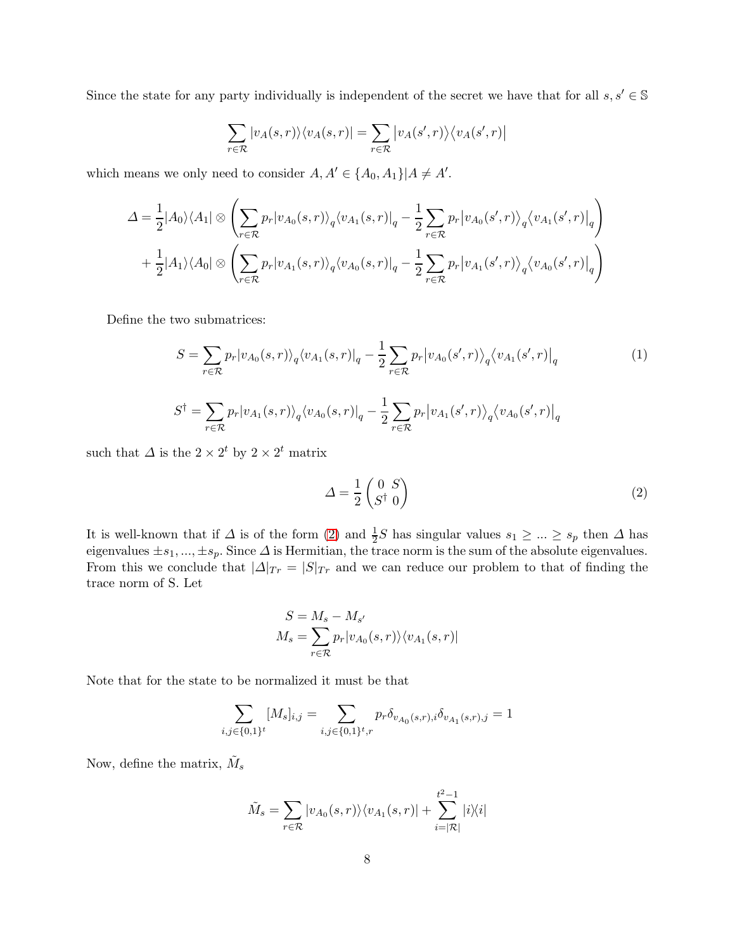Since the state for any party individually is independent of the secret we have that for all  $s, s' \in \mathbb{S}$ 

$$
\sum_{r \in \mathcal{R}} |v_A(s,r)\rangle \langle v_A(s,r)| = \sum_{r \in \mathcal{R}} |v_A(s',r)\rangle \langle v_A(s',r)|
$$

which means we only need to consider  $A, A' \in \{A_0, A_1\} | A \neq A'$ .

$$
\Delta = \frac{1}{2} |A_0\rangle\langle A_1| \otimes \left( \sum_{r \in \mathcal{R}} p_r |v_{A_0}(s,r)\rangle_q \langle v_{A_1}(s,r)|_q - \frac{1}{2} \sum_{r \in \mathcal{R}} p_r |v_{A_0}(s',r)\rangle_q \langle v_{A_1}(s',r)|_q \right) + \frac{1}{2} |A_1\rangle\langle A_0| \otimes \left( \sum_{r \in \mathcal{R}} p_r |v_{A_1}(s,r)\rangle_q \langle v_{A_0}(s,r)|_q - \frac{1}{2} \sum_{r \in \mathcal{R}} p_r |v_{A_1}(s',r)\rangle_q \langle v_{A_0}(s',r)|_q \right)
$$

Define the two submatrices:

$$
S = \sum_{r \in \mathcal{R}} p_r |v_{A_0}(s, r)\rangle_q \langle v_{A_1}(s, r)|_q - \frac{1}{2} \sum_{r \in \mathcal{R}} p_r |v_{A_0}(s', r)\rangle_q \langle v_{A_1}(s', r)|_q
$$
  

$$
S^{\dagger} = \sum_{r \in \mathcal{R}} p_r |v_{A_1}(s, r)\rangle_q \langle v_{A_0}(s, r)|_q - \frac{1}{2} \sum_{r \in \mathcal{R}} p_r |v_{A_1}(s', r)\rangle_q \langle v_{A_0}(s', r)|_q
$$
 (1)

such that  $\Delta$  is the  $2 \times 2^t$  by  $2 \times 2^t$  matrix

<span id="page-7-0"></span>
$$
\Delta = \frac{1}{2} \begin{pmatrix} 0 & S \\ S^\dagger & 0 \end{pmatrix} \tag{2}
$$

It is well-known that if  $\Delta$  is of the form [\(2\)](#page-7-0) and  $\frac{1}{2}S$  has singular values  $s_1 \geq ... \geq s_p$  then  $\Delta$  has eigenvalues  $\pm s_1, ..., \pm s_p$ . Since  $\Delta$  is Hermitian, the trace norm is the sum of the absolute eigenvalues. From this we conclude that  $|\Delta|_{Tr} = |S|_{Tr}$  and we can reduce our problem to that of finding the trace norm of S. Let

$$
S = M_s - M_{s'}
$$
  

$$
M_s = \sum_{r \in \mathcal{R}} p_r |v_{A_0}(s, r)\rangle \langle v_{A_1}(s, r)|
$$

Note that for the state to be normalized it must be that

$$
\sum_{i,j \in \{0,1\}^t} [M_s]_{i,j} = \sum_{i,j \in \{0,1\}^t, r} p_r \delta_{v_{A_0}(s,r),i} \delta_{v_{A_1}(s,r),j} = 1
$$

Now, define the matrix,  $\tilde{M}_s$ 

$$
\tilde{M}_s = \sum_{r \in \mathcal{R}} |v_{A_0}(s, r)\rangle \langle v_{A_1}(s, r)| + \sum_{i=|\mathcal{R}|}^{t^2 - 1} |i\rangle \langle i|
$$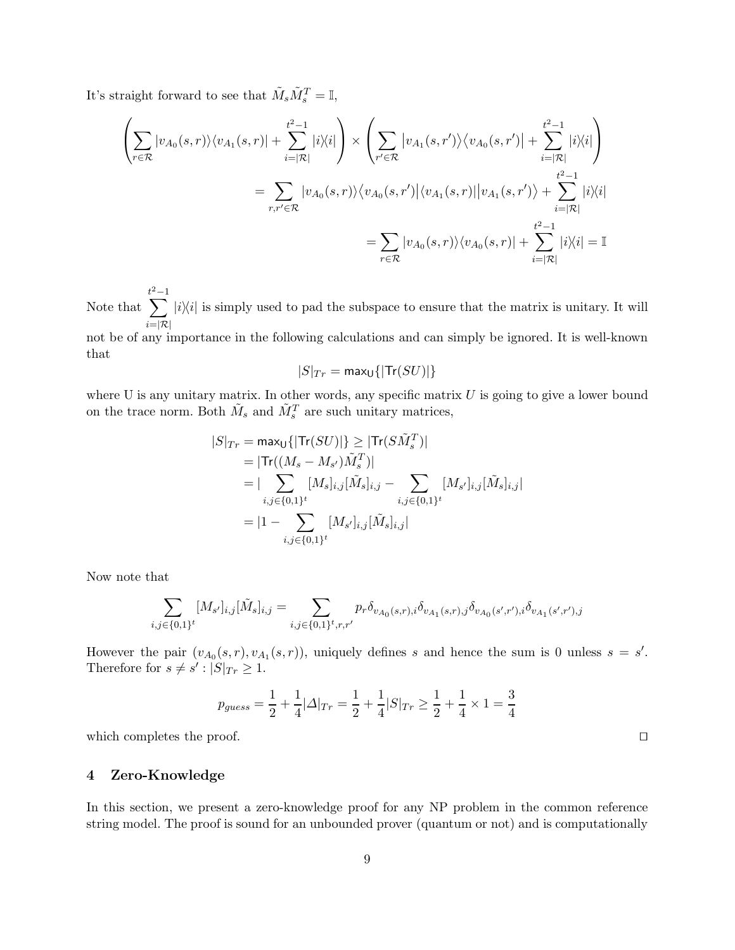It's straight forward to see that  $\tilde{M}_s \tilde{M}_s^T = \mathbb{I}$ ,

$$
\left(\sum_{r\in\mathcal{R}}|v_{A_0}(s,r)\rangle\langle v_{A_1}(s,r)|+\sum_{i=|\mathcal{R}|}^{t^2-1}|i\rangle\langle i|\right) \times \left(\sum_{r'\in\mathcal{R}}|v_{A_1}(s,r')\rangle\langle v_{A_0}(s,r')|+\sum_{i=|\mathcal{R}|}^{t^2-1}|i\rangle\langle i|\right)
$$

$$
=\sum_{r,r'\in\mathcal{R}}|v_{A_0}(s,r)\rangle\langle v_{A_0}(s,r')|\langle v_{A_1}(s,r)||v_{A_1}(s,r')\rangle+\sum_{i=|\mathcal{R}|}^{t^2-1}|i\rangle\langle i|
$$

$$
=\sum_{r\in\mathcal{R}}|v_{A_0}(s,r)\rangle\langle v_{A_0}(s,r)|+\sum_{i=|\mathcal{R}|}^{t^2-1}|i\rangle\langle i|=\mathbb{I}
$$

Note that  $\sum^{t^2-1}$  $i=|\mathcal{R}|$  $|i\rangle\langle i|$  is simply used to pad the subspace to ensure that the matrix is unitary. It will

not be of any importance in the following calculations and can simply be ignored. It is well-known that

$$
|S|_{Tr} = \max_{\mathsf{U}}\{| \mathsf{Tr}(SU)|\}
$$

where U is any unitary matrix. In other words, any specific matrix  $U$  is going to give a lower bound on the trace norm. Both  $\tilde{M}_s$  and  $\tilde{M}_s^T$  are such unitary matrices,

$$
|S|_{Tr} = \max_{U} \{ |\text{Tr}(SU)| \} \geq |\text{Tr}(S\tilde{M}_{s}^{T})|
$$
  
\n
$$
= |\text{Tr}((M_{s} - M_{s'})\tilde{M}_{s}^{T})|
$$
  
\n
$$
= |\sum_{i,j \in \{0,1\}^{t}} [M_{s}]_{i,j} [\tilde{M}_{s}]_{i,j} - \sum_{i,j \in \{0,1\}^{t}} [M_{s'}]_{i,j} [\tilde{M}_{s}]_{i,j}|
$$
  
\n
$$
= |1 - \sum_{i,j \in \{0,1\}^{t}} [M_{s'}]_{i,j} [\tilde{M}_{s}]_{i,j}|
$$

Now note that

$$
\sum_{i,j \in \{0,1\}^t} [M_{s'}]_{i,j} [\tilde{M}_s]_{i,j} = \sum_{i,j \in \{0,1\}^t, r,r'} p_r \delta_{v_{A_0}(s,r),i} \delta_{v_{A_1}(s,r),j} \delta_{v_{A_0}(s',r'),i} \delta_{v_{A_1}(s',r'),j}
$$

However the pair  $(v_{A_0}(s,r), v_{A_1}(s,r))$ , uniquely defines s and hence the sum is 0 unless  $s = s'$ . Therefore for  $s \neq s' : |S|_{Tr} \geq 1$ .

$$
p_{guess} = \frac{1}{2} + \frac{1}{4} |\Delta|_{Tr} = \frac{1}{2} + \frac{1}{4} |S|_{Tr} \ge \frac{1}{2} + \frac{1}{4} \times 1 = \frac{3}{4}
$$

which completes the proof. □

# 4 Zero-Knowledge

In this section, we present a zero-knowledge proof for any NP problem in the common reference string model. The proof is sound for an unbounded prover (quantum or not) and is computationally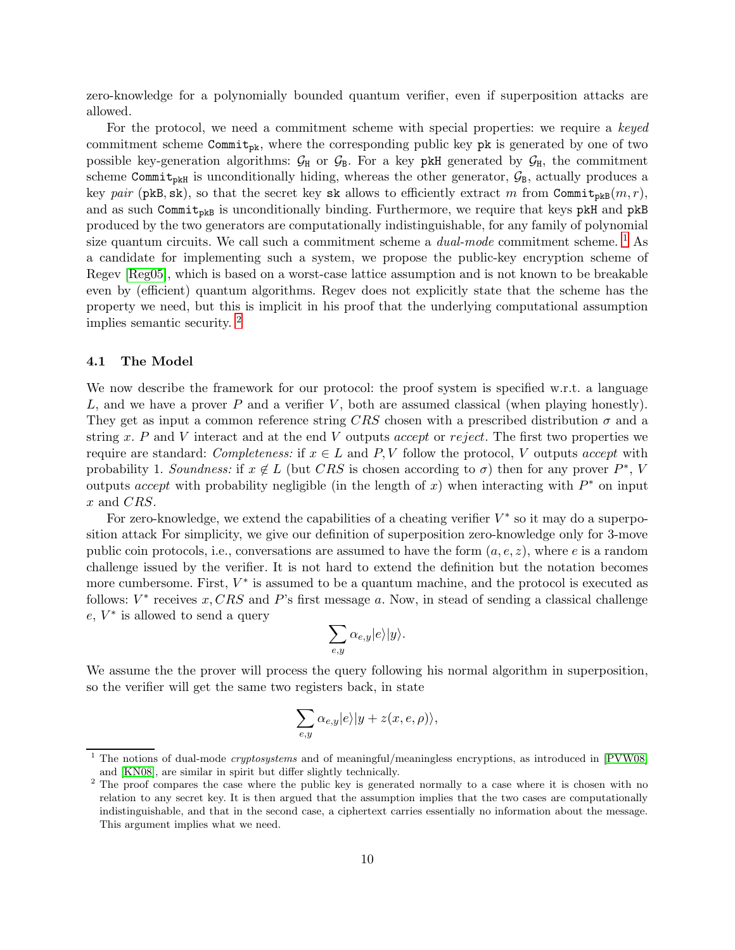zero-knowledge for a polynomially bounded quantum verifier, even if superposition attacks are allowed.

For the protocol, we need a commitment scheme with special properties: we require a keyed commitment scheme Commitpk, where the corresponding public key pk is generated by one of two possible key-generation algorithms:  $G_H$  or  $G_B$ . For a key pkH generated by  $G_H$ , the commitment scheme Commit<sub>pkH</sub> is unconditionally hiding, whereas the other generator,  $\mathcal{G}_B$ , actually produces a key pair (pkB, sk), so that the secret key sk allows to efficiently extract m from Commit<sub>pkB</sub> $(m, r)$ , and as such Commit<sub>pkB</sub> is unconditionally binding. Furthermore, we require that keys pkH and pkB produced by the two generators are computationally indistinguishable, for any family of polynomial size quantum circuits. We call such a commitment scheme a  $dual-mode$  commitment scheme. <sup>[1](#page-9-0)</sup> As a candidate for implementing such a system, we propose the public-key encryption scheme of Regev [\[Reg05\]](#page-28-2), which is based on a worst-case lattice assumption and is not known to be breakable even by (efficient) quantum algorithms. Regev does not explicitly state that the scheme has the property we need, but this is implicit in his proof that the underlying computational assumption implies semantic security. [2](#page-9-1)

#### 4.1 The Model

We now describe the framework for our protocol: the proof system is specified w.r.t. a language L, and we have a prover P and a verifier V, both are assumed classical (when playing honestly). They get as input a common reference string CRS chosen with a prescribed distribution  $\sigma$  and a string x. P and V interact and at the end V outputs accept or reject. The first two properties we require are standard: Completeness: if  $x \in L$  and P, V follow the protocol, V outputs accept with probability 1. Soundness: if  $x \notin L$  (but CRS is chosen according to  $\sigma$ ) then for any prover  $P^*$ , V outputs accept with probability negligible (in the length of x) when interacting with  $P^*$  on input x and CRS.

For zero-knowledge, we extend the capabilities of a cheating verifier  $V^*$  so it may do a superposition attack For simplicity, we give our definition of superposition zero-knowledge only for 3-move public coin protocols, i.e., conversations are assumed to have the form  $(a, e, z)$ , where e is a random challenge issued by the verifier. It is not hard to extend the definition but the notation becomes more cumbersome. First,  $V^*$  is assumed to be a quantum machine, and the protocol is executed as follows:  $V^*$  receives  $x, CRS$  and P's first message a. Now, in stead of sending a classical challenge  $e, V^*$  is allowed to send a query

$$
\sum_{e,y}\alpha_{e,y}|e\rangle|y\rangle.
$$

We assume the the prover will process the query following his normal algorithm in superposition, so the verifier will get the same two registers back, in state

$$
\sum_{e,y}\alpha_{e,y}|e\rangle|y+z(x,e,\rho)\rangle,
$$

<span id="page-9-0"></span><sup>&</sup>lt;sup>1</sup> The notions of dual-mode *cryptosystems* and of meaningful/meaningless encryptions, as introduced in  $[PVW08]$ and [\[KN08\]](#page-28-4), are similar in spirit but differ slightly technically.

<span id="page-9-1"></span><sup>&</sup>lt;sup>2</sup> The proof compares the case where the public key is generated normally to a case where it is chosen with no relation to any secret key. It is then argued that the assumption implies that the two cases are computationally indistinguishable, and that in the second case, a ciphertext carries essentially no information about the message. This argument implies what we need.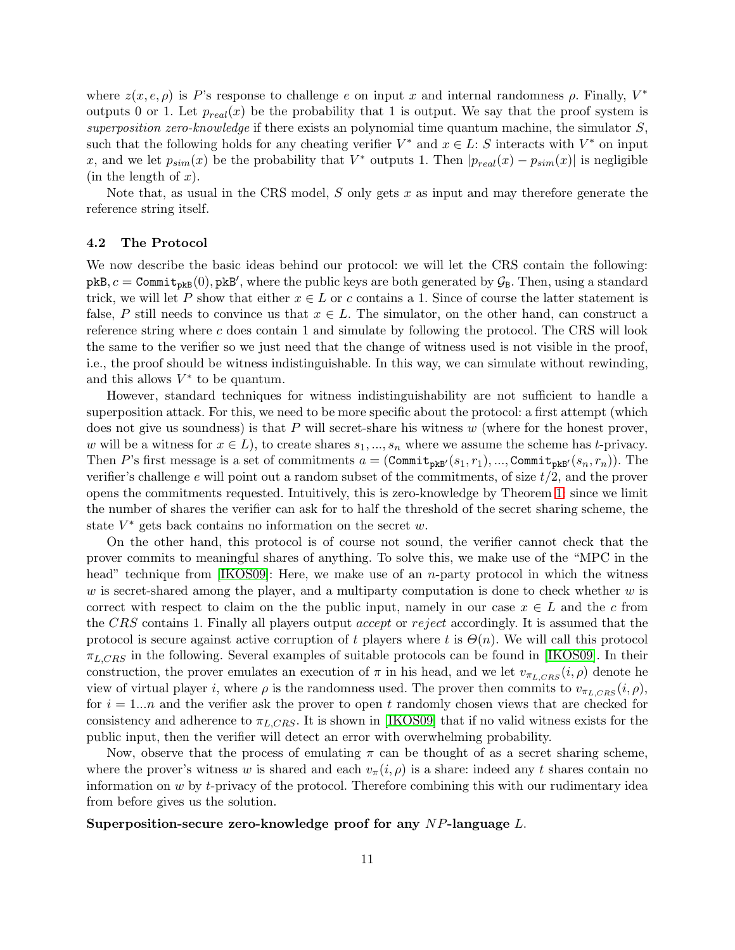where  $z(x, e, \rho)$  is P's response to challenge e on input x and internal randomness  $\rho$ . Finally,  $V^*$ outputs 0 or 1. Let  $p_{real}(x)$  be the probability that 1 is output. We say that the proof system is superposition zero-knowledge if there exists an polynomial time quantum machine, the simulator  $S$ . such that the following holds for any cheating verifier  $V^*$  and  $x \in L$ : S interacts with  $V^*$  on input x, and we let  $p_{sim}(x)$  be the probability that  $V^*$  outputs 1. Then  $|p_{real}(x) - p_{sim}(x)|$  is negligible (in the length of  $x$ ).

Note that, as usual in the CRS model,  $S$  only gets  $x$  as input and may therefore generate the reference string itself.

#### 4.2 The Protocol

We now describe the basic ideas behind our protocol: we will let the CRS contain the following:  $pkB$ ,  $c =$  Commit<sub>pkB</sub> $(0)$ ,  $pkB'$ , where the public keys are both generated by  $\mathcal{G}_B$ . Then, using a standard trick, we will let P show that either  $x \in L$  or c contains a 1. Since of course the latter statement is false, P still needs to convince us that  $x \in L$ . The simulator, on the other hand, can construct a reference string where c does contain 1 and simulate by following the protocol. The CRS will look the same to the verifier so we just need that the change of witness used is not visible in the proof, i.e., the proof should be witness indistinguishable. In this way, we can simulate without rewinding, and this allows  $V^*$  to be quantum.

However, standard techniques for witness indistinguishability are not sufficient to handle a superposition attack. For this, we need to be more specific about the protocol: a first attempt (which does not give us soundness) is that  $P$  will secret-share his witness  $w$  (where for the honest prover, w will be a witness for  $x \in L$ , to create shares  $s_1, ..., s_n$  where we assume the scheme has t-privacy. Then P's first message is a set of commitments  $a = (Commit_{\text{pkB}}(s_1, r_1), ..., Commit_{\text{pkB}}(s_n, r_n)).$  The verifier's challenge e will point out a random subset of the commitments, of size  $t/2$ , and the prover opens the commitments requested. Intuitively, this is zero-knowledge by Theorem [1:](#page-5-0) since we limit the number of shares the verifier can ask for to half the threshold of the secret sharing scheme, the state  $V^*$  gets back contains no information on the secret  $w$ .

On the other hand, this protocol is of course not sound, the verifier cannot check that the prover commits to meaningful shares of anything. To solve this, we make use of the "MPC in the head" technique from  $[KOS09]$ : Here, we make use of an *n*-party protocol in which the witness w is secret-shared among the player, and a multiparty computation is done to check whether  $w$  is correct with respect to claim on the the public input, namely in our case  $x \in L$  and the c from the CRS contains 1. Finally all players output accept or reject accordingly. It is assumed that the protocol is secure against active corruption of t players where t is  $\Theta(n)$ . We will call this protocol  $\pi_{L,CRS}$  in the following. Several examples of suitable protocols can be found in [\[IKOS09\]](#page-28-5). In their construction, the prover emulates an execution of  $\pi$  in his head, and we let  $v_{\pi_{LCRS}}(i,\rho)$  denote he view of virtual player i, where  $\rho$  is the randomness used. The prover then commits to  $v_{\pi_{L,CRS}}(i,\rho)$ , for  $i = 1...n$  and the verifier ask the prover to open t randomly chosen views that are checked for consistency and adherence to  $\pi_{L,CRS}$ . It is shown in [\[IKOS09\]](#page-28-5) that if no valid witness exists for the public input, then the verifier will detect an error with overwhelming probability.

Now, observe that the process of emulating  $\pi$  can be thought of as a secret sharing scheme, where the prover's witness w is shared and each  $v_{\pi}(i, \rho)$  is a share: indeed any t shares contain no information on  $w$  by  $t$ -privacy of the protocol. Therefore combining this with our rudimentary idea from before gives us the solution.

## Superposition-secure zero-knowledge proof for any NP-language L.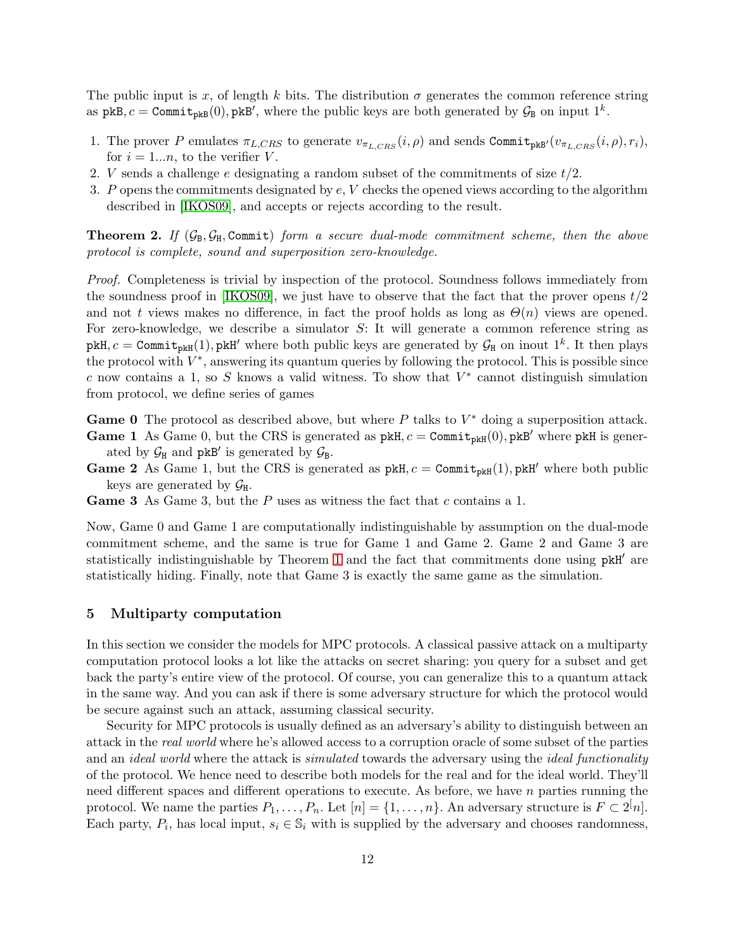The public input is x, of length k bits. The distribution  $\sigma$  generates the common reference string as  $pkB$ ,  $c = \text{Commit}_{pkB}(0)$ ,  $pkB'$ , where the public keys are both generated by  $\mathcal{G}_B$  on input  $1^k$ .

- 1. The prover P emulates  $\pi_{L,CRS}$  to generate  $v_{\pi_{L,CRS}}(i,\rho)$  and sends Commit<sub>pkB'</sub>( $v_{\pi_{L,CRS}}(i,\rho), r_i$ ), for  $i = 1...n$ , to the verifier V.
- 2. V sends a challenge e designating a random subset of the commitments of size  $t/2$ .
- 3. P opens the commitments designated by e, V checks the opened views according to the algorithm described in [\[IKOS09\]](#page-28-5), and accepts or rejects according to the result.

**Theorem 2.** If  $(\mathcal{G}_B, \mathcal{G}_H, \text{Commit})$  form a secure dual-mode commitment scheme, then the above protocol is complete, sound and superposition zero-knowledge.

Proof. Completeness is trivial by inspection of the protocol. Soundness follows immediately from the soundness proof in [\[IKOS09\]](#page-28-5), we just have to observe that the fact that the prover opens  $t/2$ and not t views makes no difference, in fact the proof holds as long as  $\Theta(n)$  views are opened. For zero-knowledge, we describe a simulator S: It will generate a common reference string as  $pkH, c = Commit<sub>pkH</sub>(1), pkH'$  where both public keys are generated by  $\mathcal{G}_H$  on inout  $1^k$ . It then plays the protocol with  $V^*$ , answering its quantum queries by following the protocol. This is possible since c now contains a 1, so S knows a valid witness. To show that  $V^*$  cannot distinguish simulation from protocol, we define series of games

**Game 0** The protocol as described above, but where  $P$  talks to  $V^*$  doing a superposition attack.

- **Game 1** As Game 0, but the CRS is generated as  $pkH$ ,  $c = Commit_{pkH}(0)$ ,  $pkB'$  where  $pkH$  is generated by  $\mathcal{G}_{H}$  and pkB' is generated by  $\mathcal{G}_{B}$ .
- **Game 2** As Game 1, but the CRS is generated as  $pkH$ ,  $c = Commit_{pkH}(1)$ ,  $pkH'$  where both public keys are generated by  $\mathcal{G}_{H}$ .
- **Game 3** As Game 3, but the  $P$  uses as witness the fact that  $c$  contains a 1.

Now, Game 0 and Game 1 are computationally indistinguishable by assumption on the dual-mode commitment scheme, and the same is true for Game 1 and Game 2. Game 2 and Game 3 are statistically indistinguishable by Theorem [1](#page-5-0) and the fact that commitments done using pkH′ are statistically hiding. Finally, note that Game 3 is exactly the same game as the simulation.

# 5 Multiparty computation

In this section we consider the models for MPC protocols. A classical passive attack on a multiparty computation protocol looks a lot like the attacks on secret sharing: you query for a subset and get back the party's entire view of the protocol. Of course, you can generalize this to a quantum attack in the same way. And you can ask if there is some adversary structure for which the protocol would be secure against such an attack, assuming classical security.

Security for MPC protocols is usually defined as an adversary's ability to distinguish between an attack in the real world where he's allowed access to a corruption oracle of some subset of the parties and an *ideal world* where the attack is *simulated* towards the adversary using the *ideal functionality* of the protocol. We hence need to describe both models for the real and for the ideal world. They'll need different spaces and different operations to execute. As before, we have  $n$  parties running the protocol. We name the parties  $P_1, \ldots, P_n$ . Let  $[n] = \{1, \ldots, n\}$ . An adversary structure is  $F \subset 2^{[n]}$ . Each party,  $P_i$ , has local input,  $s_i \in \mathbb{S}_i$  with is supplied by the adversary and chooses randomness,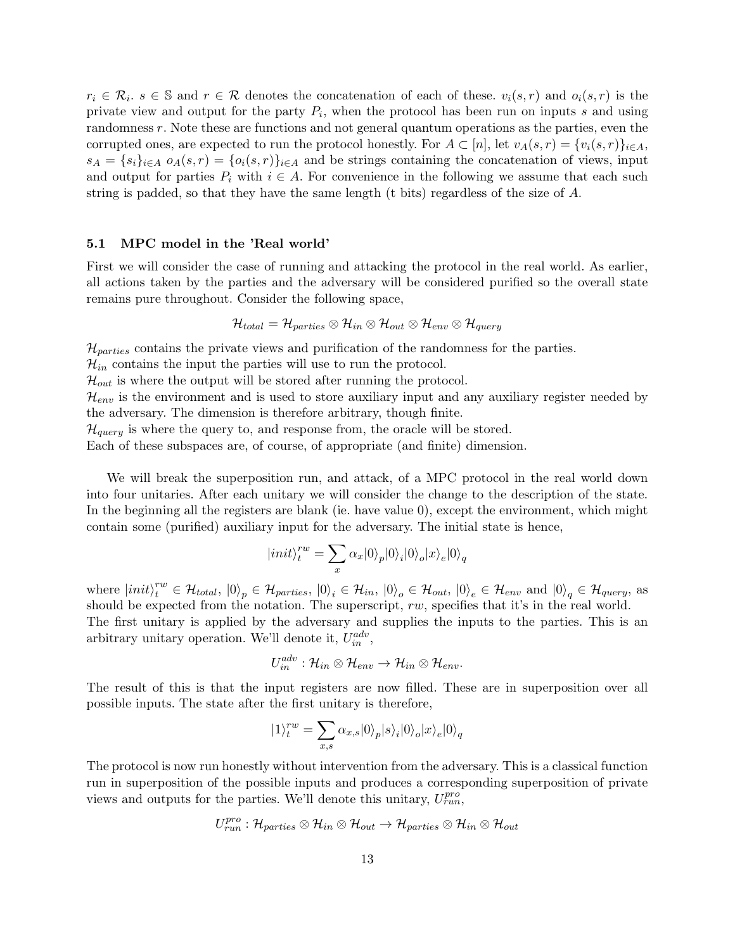$r_i \in \mathcal{R}_i$ ,  $s \in \mathbb{S}$  and  $r \in \mathcal{R}$  denotes the concatenation of each of these,  $v_i(s,r)$  and  $o_i(s,r)$  is the private view and output for the party  $P_i$ , when the protocol has been run on inputs s and using randomness r. Note these are functions and not general quantum operations as the parties, even the corrupted ones, are expected to run the protocol honestly. For  $A \subset [n]$ , let  $v_A(s,r) = \{v_i(s,r)\}_{i \in A}$ ,  $s_A = \{s_i\}_{i \in A}$   $o_A(s, r) = \{o_i(s, r)\}_{i \in A}$  and be strings containing the concatenation of views, input and output for parties  $P_i$  with  $i \in A$ . For convenience in the following we assume that each such string is padded, so that they have the same length (t bits) regardless of the size of A.

# 5.1 MPC model in the 'Real world'

First we will consider the case of running and attacking the protocol in the real world. As earlier, all actions taken by the parties and the adversary will be considered purified so the overall state remains pure throughout. Consider the following space,

$$
\mathcal{H}_{total} = \mathcal{H}_{particles} \otimes \mathcal{H}_{in} \otimes \mathcal{H}_{out} \otimes \mathcal{H}_{env} \otimes \mathcal{H}_{query}
$$

 $\mathcal{H}_{particles}$  contains the private views and purification of the randomness for the parties.

 $\mathcal{H}_{in}$  contains the input the parties will use to run the protocol.

 $\mathcal{H}_{out}$  is where the output will be stored after running the protocol.

 $\mathcal{H}_{env}$  is the environment and is used to store auxiliary input and any auxiliary register needed by the adversary. The dimension is therefore arbitrary, though finite.

 $\mathcal{H}_{query}$  is where the query to, and response from, the oracle will be stored.

Each of these subspaces are, of course, of appropriate (and finite) dimension.

We will break the superposition run, and attack, of a MPC protocol in the real world down into four unitaries. After each unitary we will consider the change to the description of the state. In the beginning all the registers are blank (ie. have value 0), except the environment, which might contain some (purified) auxiliary input for the adversary. The initial state is hence,

$$
|init\rangle_t^{rw} = \sum_x \alpha_x |0\rangle_p |0\rangle_i |0\rangle_o |x\rangle_e |0\rangle_q
$$

where  $|init\rangle_t^{rw} \in \mathcal{H}_{total}$ ,  $|0\rangle_p \in \mathcal{H}_{particles}$ ,  $|0\rangle_i \in \mathcal{H}_{in}$ ,  $|0\rangle_o \in \mathcal{H}_{out}$ ,  $|0\rangle_e \in \mathcal{H}_{env}$  and  $|0\rangle_q \in \mathcal{H}_{query}$ , as should be expected from the notation. The superscript,  $rw$ , specifies that it's in the real world.

The first unitary is applied by the adversary and supplies the inputs to the parties. This is an arbitrary unitary operation. We'll denote it,  $U_{in}^{adv}$ ,

$$
U_{in}^{adv}: \mathcal{H}_{in} \otimes \mathcal{H}_{env} \rightarrow \mathcal{H}_{in} \otimes \mathcal{H}_{env}.
$$

The result of this is that the input registers are now filled. These are in superposition over all possible inputs. The state after the first unitary is therefore,

$$
|1\rangle_t^{rw}=\sum_{x,s}\alpha_{x,s}|0\rangle_p |s\rangle_i |0\rangle_o |x\rangle_e |0\rangle_q
$$

The protocol is now run honestly without intervention from the adversary. This is a classical function run in superposition of the possible inputs and produces a corresponding superposition of private views and outputs for the parties. We'll denote this unitary,  $U_{run}^{pro}$ ,

$$
U^{pro}_{run} : \mathcal{H}_{parties} \otimes \mathcal{H}_{in} \otimes \mathcal{H}_{out} \rightarrow \mathcal{H}_{parties} \otimes \mathcal{H}_{in} \otimes \mathcal{H}_{out}
$$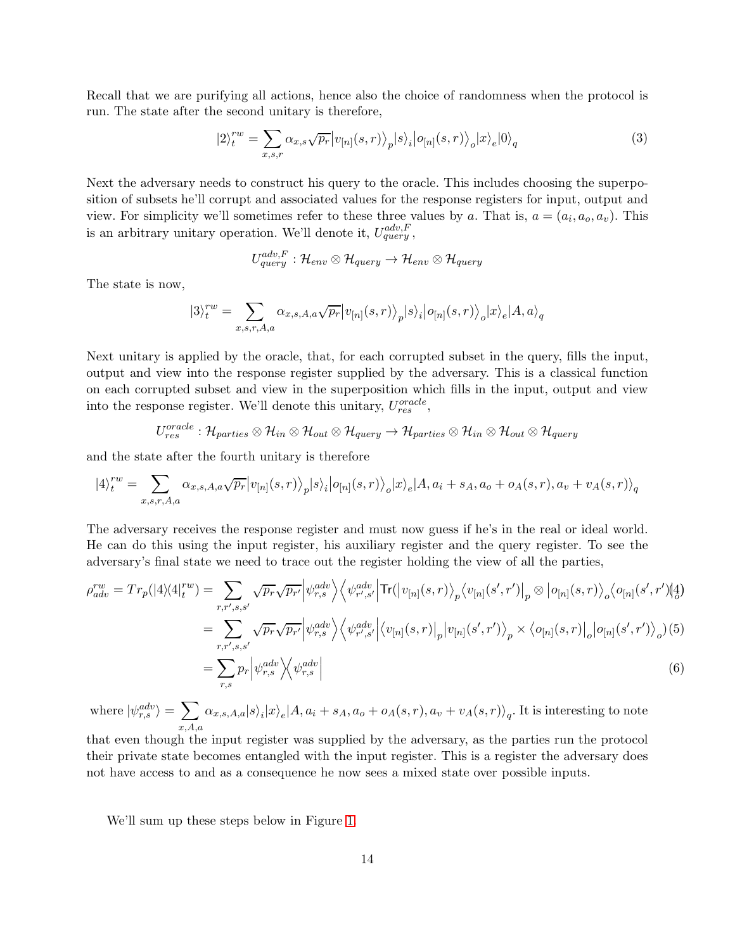Recall that we are purifying all actions, hence also the choice of randomness when the protocol is run. The state after the second unitary is therefore,

$$
|2\rangle_t^{rw} = \sum_{x,s,r} \alpha_{x,s} \sqrt{p_r} |v_{[n]}(s,r)\rangle_p |s\rangle_i |o_{[n]}(s,r)\rangle_o |x\rangle_e |0\rangle_q
$$
(3)

Next the adversary needs to construct his query to the oracle. This includes choosing the superposition of subsets he'll corrupt and associated values for the response registers for input, output and view. For simplicity we'll sometimes refer to these three values by a. That is,  $a = (a_i, a_o, a_v)$ . This is an arbitrary unitary operation. We'll denote it,  $U_{query}^{adv, F}$ ,

$$
U^{adv,F}_{query} : \mathcal{H}_{env} \otimes \mathcal{H}_{query} \rightarrow \mathcal{H}_{env} \otimes \mathcal{H}_{query}
$$

The state is now,

$$
|3\rangle^{rw}_{t}=\sum_{x,s,r,A,a}\alpha_{x,s,A,a}\sqrt{p_{r}}\big|v_{[n]}(s,r)\big\rangle_{p}|s\rangle_{i}\big|o_{[n]}(s,r)\big\rangle_{o}|x\rangle_{e}|A,a\rangle_{q}
$$

Next unitary is applied by the oracle, that, for each corrupted subset in the query, fills the input, output and view into the response register supplied by the adversary. This is a classical function on each corrupted subset and view in the superposition which fills in the input, output and view into the response register. We'll denote this unitary,  $U_{res}^{oracle}$ ,

$$
U_{res}^{oracle}:\mathcal{H}_{parties}\otimes\mathcal{H}_{in}\otimes\mathcal{H}_{out}\otimes\mathcal{H}_{query}\rightarrow\mathcal{H}_{parties}\otimes\mathcal{H}_{in}\otimes\mathcal{H}_{out}\otimes\mathcal{H}_{query}
$$

and the state after the fourth unitary is therefore

$$
|4\rangle^{rw}_{t} = \sum_{x,s,r,A,a} \alpha_{x,s,A,a} \sqrt{p_r} |v_{[n]}(s,r)\rangle_{p} |s\rangle_{i} |o_{[n]}(s,r)\rangle_{o} |x\rangle_{e} |A,a_{i} + s_{A},a_{o} + o_{A}(s,r), a_{v} + v_{A}(s,r)\rangle_{q}
$$

The adversary receives the response register and must now guess if he's in the real or ideal world. He can do this using the input register, his auxiliary register and the query register. To see the adversary's final state we need to trace out the register holding the view of all the parties,

$$
\rho_{adv}^{rw} = Tr_p(|4\rangle\langle 4|_t^{rw}) = \sum_{r,r',s,s'} \sqrt{p_r} \sqrt{p_{r'}} \left| \psi_{r,s}^{adv} \right\rangle \left\langle \psi_{r',s'}^{adv} \right| \text{Tr}(|v_{[n]}(s,r) \rangle_p \left\langle v_{[n]}(s',r') \right|_p \otimes |o_{[n]}(s,r) \rangle_o \left\langle o_{[n]}(s',r') \right|_q^4)
$$
\n
$$
= \sum_{r,r',s,s'} \sqrt{p_r} \sqrt{p_{r'}} \left| \psi_{r,s}^{adv} \right\rangle \left\langle \psi_{r',s'}^{adv} \right| \left\langle v_{[n]}(s,r) \right|_p |v_{[n]}(s',r') \rangle_p \times \left\langle o_{[n]}(s,r) \right|_o |o_{[n]}(s',r') \rangle_o (5)
$$
\n
$$
= \sum_{r,s} p_r \left| \psi_{r,s}^{adv} \right\rangle \left\langle \psi_{r,s}^{adv} \right| \tag{6}
$$

where  $|\psi_{r,s}^{adv}\rangle = \sum$  $x, A, a$  $\alpha_{x,s,A,a}|s\rangle_i|x\rangle_e|A, a_i+s_A, a_o+o_A(s,r), a_v+v_A(s,r)\rangle_q.$  It is interesting to note

that even though the input register was supplied by the adversary, as the parties run the protocol their private state becomes entangled with the input register. This is a register the adversary does not have access to and as a consequence he now sees a mixed state over possible inputs.

We'll sum up these steps below in Figure [1.](#page-14-0)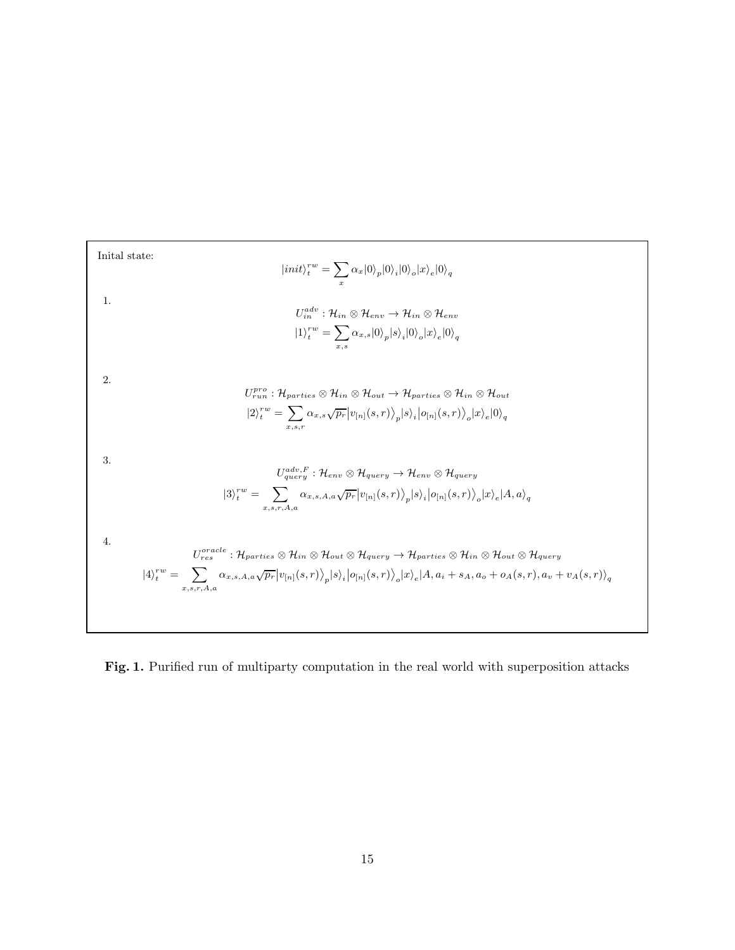

<span id="page-14-0"></span>Fig. 1. Purified run of multiparty computation in the real world with superposition attacks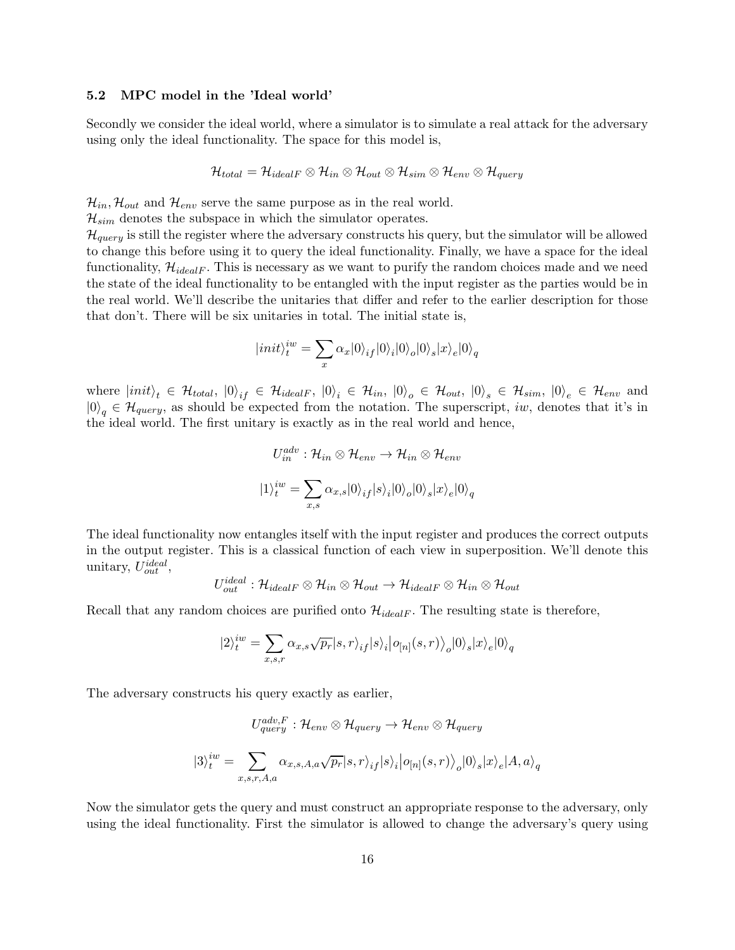#### 5.2 MPC model in the 'Ideal world'

Secondly we consider the ideal world, where a simulator is to simulate a real attack for the adversary using only the ideal functionality. The space for this model is,

$$
\mathcal{H}_{total} = \mathcal{H}_{idealF} \otimes \mathcal{H}_{in} \otimes \mathcal{H}_{out} \otimes \mathcal{H}_{sim} \otimes \mathcal{H}_{env} \otimes \mathcal{H}_{query}
$$

 $\mathcal{H}_{in}$ ,  $\mathcal{H}_{out}$  and  $\mathcal{H}_{env}$  serve the same purpose as in the real world.

 $\mathcal{H}_{sim}$  denotes the subspace in which the simulator operates.

 $\mathcal{H}_{query}$  is still the register where the adversary constructs his query, but the simulator will be allowed to change this before using it to query the ideal functionality. Finally, we have a space for the ideal functionality,  $\mathcal{H}_{idealF}$ . This is necessary as we want to purify the random choices made and we need the state of the ideal functionality to be entangled with the input register as the parties would be in the real world. We'll describe the unitaries that differ and refer to the earlier description for those that don't. There will be six unitaries in total. The initial state is,

$$
|init\rangle^{iw}_t=\sum_x\alpha_x|0\rangle_{if}|0\rangle_i|0\rangle_o|0\rangle_s|x\rangle_e|0\rangle_q
$$

where  $|init\rangle_t \in \mathcal{H}_{total}$ ,  $|0\rangle_{if} \in \mathcal{H}_{idealF}$ ,  $|0\rangle_i \in \mathcal{H}_{in}$ ,  $|0\rangle_o \in \mathcal{H}_{out}$ ,  $|0\rangle_s \in \mathcal{H}_{sim}$ ,  $|0\rangle_e \in \mathcal{H}_{env}$  and  $|0\rangle_q \in \mathcal{H}_{query}$ , as should be expected from the notation. The superscript, iw, denotes that it's in the ideal world. The first unitary is exactly as in the real world and hence,

$$
U_{in}^{adv}: \mathcal{H}_{in} \otimes \mathcal{H}_{env} \to \mathcal{H}_{in} \otimes \mathcal{H}_{env}
$$

$$
|1\rangle_t^{iw} = \sum_{x,s} \alpha_{x,s} |0\rangle_{if} |s\rangle_i |0\rangle_o |0\rangle_s |x\rangle_e |0\rangle_q
$$

The ideal functionality now entangles itself with the input register and produces the correct outputs in the output register. This is a classical function of each view in superposition. We'll denote this unitary,  $U_{out}^{ideal}$ ,

$$
U_{out}^{ideal} : \mathcal{H}_{idealF} \otimes \mathcal{H}_{in} \otimes \mathcal{H}_{out} \rightarrow \mathcal{H}_{idealF} \otimes \mathcal{H}_{in} \otimes \mathcal{H}_{out}
$$

Recall that any random choices are purified onto  $\mathcal{H}_{idealF}$ . The resulting state is therefore,

$$
|2\rangle^{iw}_t=\sum_{x,s,r}\alpha_{x,s}\sqrt{p_r}|s,r\rangle_{if}|s\rangle_i\big|o_{[n]}(s,r)\big\rangle_o|0\rangle_s|x\rangle_e|0\rangle_q
$$

The adversary constructs his query exactly as earlier,

$$
U_{query}^{adv,F}: \mathcal{H}_{env} \otimes \mathcal{H}_{query} \rightarrow \mathcal{H}_{env} \otimes \mathcal{H}_{query}
$$

$$
|3\rangle_t^{iw} = \sum_{x,s,r,A,a} \alpha_{x,s,A,a} \sqrt{p_r} |s,r\rangle_{if} |s\rangle_i |o_{[n]}(s,r)\rangle_o |0\rangle_s |x\rangle_e |A,a\rangle_q
$$

Now the simulator gets the query and must construct an appropriate response to the adversary, only using the ideal functionality. First the simulator is allowed to change the adversary's query using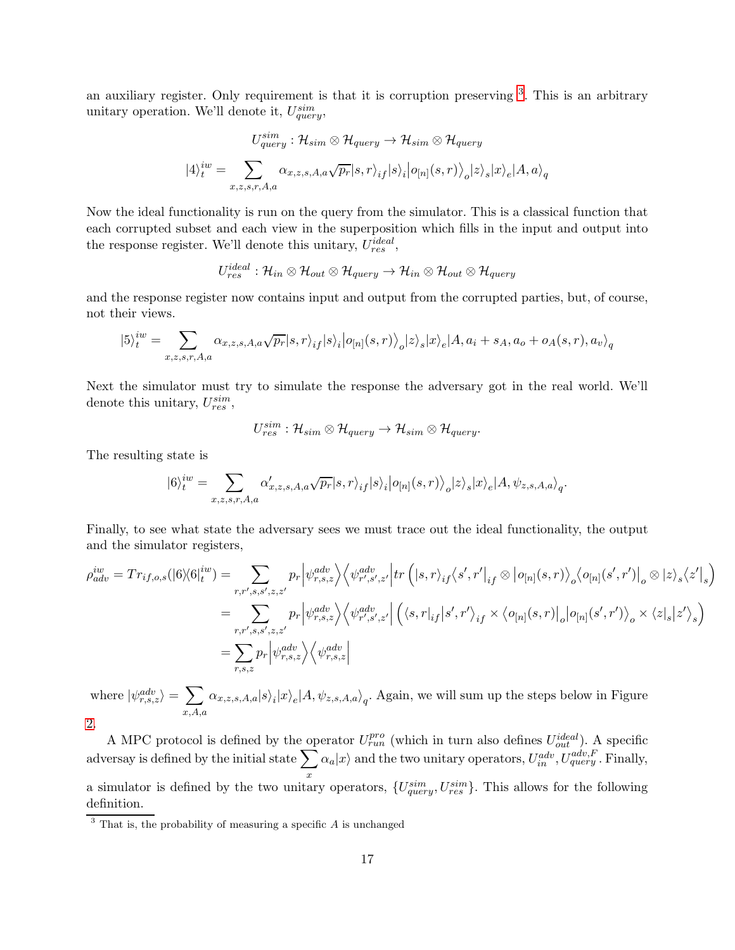an auxiliary register. Only requirement is that it is corruption preserving <sup>[3](#page-16-0)</sup>. This is an arbitrary unitary operation. We'll denote it,  $U_{query}^{sim}$ ,

$$
U_{query}^{sim}: \mathcal{H}_{sim} \otimes \mathcal{H}_{query} \rightarrow \mathcal{H}_{sim} \otimes \mathcal{H}_{query}
$$

$$
|4\rangle_t^{iw} = \sum_{x,z,s,r,A,a} \alpha_{x,z,s,A,a} \sqrt{p_r} |s,r\rangle_{if} |s\rangle_i |o_{[n]}(s,r)\rangle_o |z\rangle_s |x\rangle_e |A,a\rangle_q
$$

Now the ideal functionality is run on the query from the simulator. This is a classical function that each corrupted subset and each view in the superposition which fills in the input and output into the response register. We'll denote this unitary,  $U_{res}^{ideal}$ ,

$$
U_{res}^{ideal} : \mathcal{H}_{in} \otimes \mathcal{H}_{out} \otimes \mathcal{H}_{query} \rightarrow \mathcal{H}_{in} \otimes \mathcal{H}_{out} \otimes \mathcal{H}_{query}
$$

and the response register now contains input and output from the corrupted parties, but, of course, not their views.

$$
|5\rangle^{iw}_t = \sum_{x,z,s,r,A,a} \alpha_{x,z,s,A,a} \sqrt{p_r} |s,r\rangle_{if} |s\rangle_i |o_{[n]}(s,r)\rangle_o |z\rangle_s |x\rangle_e |A,a_i+s_A,a_o + o_A(s,r),a_v\rangle_q
$$

Next the simulator must try to simulate the response the adversary got in the real world. We'll denote this unitary,  $U_{res}^{sim}$ ,

$$
U_{res}^{sim}:\mathcal{H}_{sim}\otimes\mathcal{H}_{query}\rightarrow \mathcal{H}_{sim}\otimes\mathcal{H}_{query}.
$$

The resulting state is

$$
|6\rangle^{iw}_t=\sum_{x,z,s,r,A,a}\alpha'_{x,z,s,A,a}\sqrt{p_r}|s,r\rangle_{if}|s\rangle_i\big|o_{[n]}(s,r)\big\rangle_o|z\rangle_s|x\rangle_e|A,\psi_{z,s,A,a}\rangle_q.
$$

Finally, to see what state the adversary sees we must trace out the ideal functionality, the output and the simulator registers,

$$
\rho_{adv}^{iw} = Tr_{if,o,s}(|6\rangle\langle 6|_t^{iw}) = \sum_{r,r',s,s',z,z'} p_r \left| \psi_{r,s,z}^{adv} \right\rangle \left\langle \psi_{r',s',z'}^{adv} \right| tr\left( |s,r\rangle_{if} \langle s',r' |_{if} \otimes |o_{[n]}(s,r) \rangle_o \langle o_{[n]}(s',r')|_o \otimes |z\rangle_s \langle z' |_s \right)
$$
\n
$$
= \sum_{r,r',s,s',z,z'} p_r \left| \psi_{r,s,z}^{adv} \right\rangle \left\langle \psi_{r',s',z'}^{adv} \right| \left( \langle s,r |_{if} |s',r' \rangle_{if} \times \langle o_{[n]}(s,r) |_o |o_{[n]}(s',r') \rangle_o \times \langle z|_s |z' \rangle_s \right)
$$
\n
$$
= \sum_{r,s,z} p_r \left| \psi_{r,s,z}^{adv} \right\rangle \left\langle \psi_{r,s,z}^{adv} \right|
$$

where  $|\psi_{r,s,z}^{adv}\rangle = \sum$  $x, A, a$  $\alpha_{x,z,s,A,a}|s\rangle_i|x\rangle_e|A,\psi_{z,s,A,a}\rangle_q.$  Again, we will sum up the steps below in Figure [2.](#page-17-0)

A MPC protocol is defined by the operator  $U^{pro}_{run}$  (which in turn also defines  $U^{ideal}_{out}$ ). A specific adversay is defined by the initial state  $\sum$ x  $\alpha_a|x\rangle$  and the two unitary operators,  $U_{in}^{adv}, U_{query}^{adv, F}$ . Finally, a simulator is defined by the two unitary operators,  $\{U^{sim}_{query}, U^{sim}_{res}\}$ . This allows for the following definition.

<span id="page-16-0"></span> $3$  That is, the probability of measuring a specific A is unchanged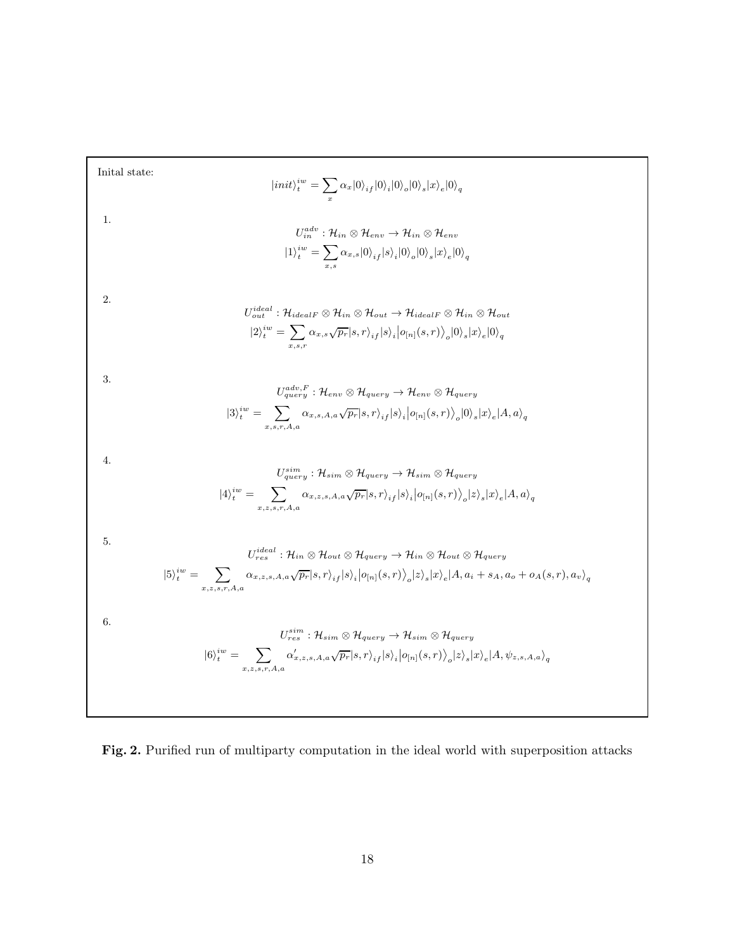Initial state:  
\n
$$
|init\rangle_{i}^{iw} = \sum_{x} \alpha_{x}|0\rangle_{if}|0\rangle_{i}|0\rangle_{s}|x\rangle_{x}|0\rangle_{q}
$$
\n1.  
\n
$$
U_{in}^{adv}: \mathcal{H}_{in} \otimes \mathcal{H}_{env} \rightarrow \mathcal{H}_{in} \otimes \mathcal{H}_{env}
$$
\n
$$
|1\rangle_{i}^{iw} = \sum_{x,a} \alpha_{x,a}|0\rangle_{if}|s\rangle_{i}|0\rangle_{o}|0\rangle_{s}|x\rangle_{e}|0\rangle_{q}
$$
\n2.  
\n
$$
U_{out}^{ideal}: \mathcal{H}_{ideal} \otimes \mathcal{H}_{in} \otimes \mathcal{H}_{out} \rightarrow \mathcal{H}_{ideal} \otimes \mathcal{H}_{in} \otimes \mathcal{H}_{out}
$$
\n
$$
|2\rangle_{i}^{iw} = \sum_{x,a} \alpha_{x,a} \sqrt{p_{r}}|s,r\rangle_{if}|s\rangle_{i}|0\rangle_{i}|0\rangle_{i}|x\rangle_{c}|0\rangle_{q}
$$
\n3.  
\n3.  
\n
$$
U_{query}^{adv,F}: \mathcal{H}_{env} \otimes \mathcal{H}_{query} \rightarrow \mathcal{H}_{env} \otimes \mathcal{H}_{query}
$$
\n
$$
|3\rangle_{i}^{iw} = \sum_{x,s,r,A,a} \alpha_{x,s,A,a} \sqrt{p_{r}}|s,r\rangle_{if}|s\rangle_{i}|0\rangle_{in}|(s,r)\rangle_{j}|0\rangle_{s}|x\rangle_{e}|A,a\rangle_{q}
$$
\n4.  
\n4.  
\n
$$
|4\rangle_{i}^{iw} = \sum_{x,s,r,A,a} \alpha_{x,s,A,a} \sqrt{p_{r}}|s,r\rangle_{if}|s\rangle_{i}|0\rangle_{in}|(s,r)\rangle_{j}|s\rangle_{s}|x\rangle_{e}|A,a\rangle_{q}
$$
\n4.  
\n5.  
\n
$$
U_{query}^{sim}: \mathcal{H}_{in} \otimes \mathcal{H}_{query} \rightarrow \mathcal{H}_{in} \otimes \mathcal{H}_{query}
$$
\n
$$
|5\rangle_{i}^{iw} = \sum_{x,s,s,r,A,a} \alpha_{x,s,s,A,a} \sqrt{p_{r}}|s,r\rangle_{if}|s\rangle_{i}|0\rangle_{in}|(s,r)\rangle_{j}|s\rangle_{s}|a\rangle_{e}|A,a
$$

<span id="page-17-0"></span>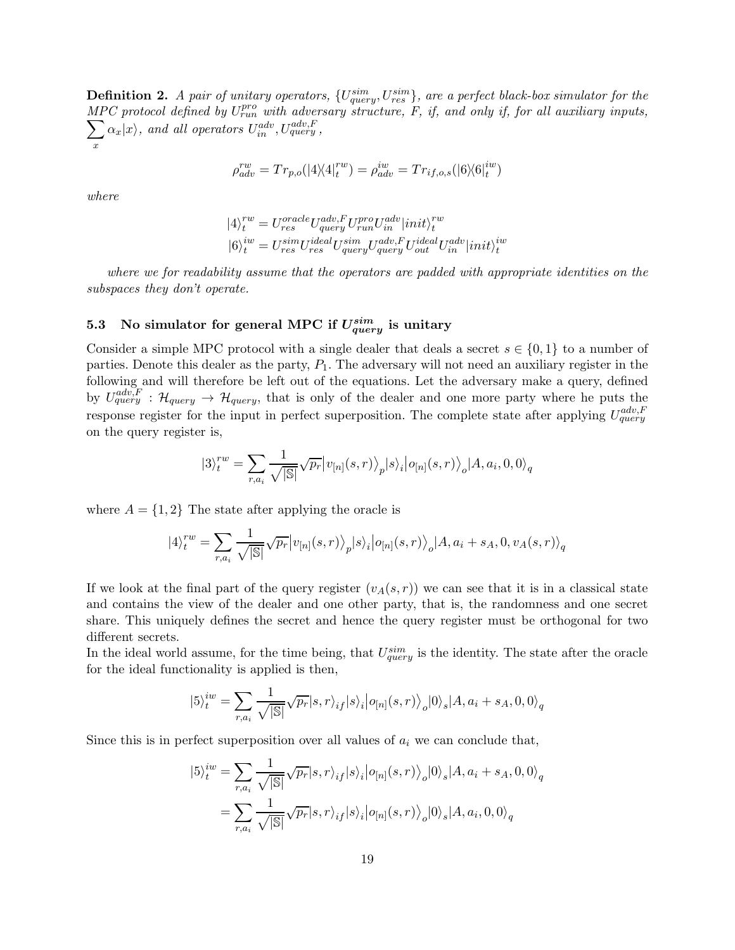**Definition 2.** A pair of unitary operators,  $\{U_{query}^{sim}, U_{res}^{sim}\}\$ , are a perfect black-box simulator for the MPC protocol defined by  $U_{run}^{pro}$  with adversary structure, F, if, and only if, for all auxiliary inputs,<br> $\sum \alpha_r |x\rangle$ , and all operators  $U_{n}^{adv}$ ,  $U_{quern}^{adv}$ . x  $\alpha_x|x\rangle$ , and all operators  $U_{in}^{adv}, U_{query}^{adv, F}$ ,

$$
\rho^{rw}_{adv} = Tr_{p,o}(|4\rangle\langle 4|^{rw}_t) = \rho^{iw}_{adv} = Tr_{if,o,s}(|6\rangle\langle 6|^{iw}_t)
$$

where

$$
\begin{array}{l} \label{eq:4} |4\rangle_t^{rw} = U_{res}^{oracle}U_{query}^{adv,F}U_{run}^{pro}U_{in}^{adv}|init\rangle_t^{rw}\\ |6\rangle_t^{iw} = U_{res}^{sim}U_{res}^{ideal}U_{query}^{sum}U_{out}^{ideal}U_{in}^{adv}|init\rangle_t^{iw} \end{array}
$$

where we for readability assume that the operators are padded with appropriate identities on the subspaces they don't operate.

# <span id="page-18-0"></span>5.3 No simulator for general MPC if  $U^{sim}_{query}$  is unitary

Consider a simple MPC protocol with a single dealer that deals a secret  $s \in \{0,1\}$  to a number of parties. Denote this dealer as the party,  $P_1$ . The adversary will not need an auxiliary register in the following and will therefore be left out of the equations. Let the adversary make a query, defined by  $U_{query}^{adv,F}$ :  $\mathcal{H}_{query} \rightarrow \mathcal{H}_{query}$ , that is only of the dealer and one more party where he puts the response register for the input in perfect superposition. The complete state after applying  $U_{query}^{adv,F}$ on the query register is,

$$
|3\rangle^{rw}_t=\sum_{r,a_i}\frac{1}{\sqrt{|\mathbb{S}|}}\sqrt{p_r}\big|v_{[n]}(s,r)\big\rangle_p|s\rangle_i\big|o_{[n]}(s,r)\big\rangle_o|A,a_i,0,0\rangle_q
$$

where  $A = \{1, 2\}$  The state after applying the oracle is

$$
|4\rangle_t^{rw} = \sum_{r,a_i} \frac{1}{\sqrt{|\mathbb{S}|}} \sqrt{p_r} |v_{[n]}(s,r)\rangle_p |s\rangle_i |o_{[n]}(s,r)\rangle_o |A, a_i + s_A, 0, v_A(s,r)\rangle_q
$$

If we look at the final part of the query register  $(v_A(s, r))$  we can see that it is in a classical state and contains the view of the dealer and one other party, that is, the randomness and one secret share. This uniquely defines the secret and hence the query register must be orthogonal for two different secrets.

In the ideal world assume, for the time being, that  $U_{query}^{sim}$  is the identity. The state after the oracle for the ideal functionality is applied is then,

$$
|5\rangle_t^{iw} = \sum_{r,a_i} \frac{1}{\sqrt{|\mathbb{S}|}} \sqrt{p_r} |s,r\rangle_{if} |s\rangle_i |o_{[n]}(s,r)\rangle_o |0\rangle_s |A, a_i + s_A, 0, 0\rangle_q
$$

Since this is in perfect superposition over all values of  $a_i$  we can conclude that,

$$
|5\rangle_t^{iw} = \sum_{r,a_i} \frac{1}{\sqrt{|\mathbb{S}|}} \sqrt{p_r} |s,r\rangle_{if} |s\rangle_i |o_{[n]}(s,r)\rangle_o |0\rangle_s |A, a_i + s_A, 0, 0\rangle_q
$$

$$
= \sum_{r,a_i} \frac{1}{\sqrt{|\mathbb{S}|}} \sqrt{p_r} |s,r\rangle_{if} |s\rangle_i |o_{[n]}(s,r)\rangle_o |0\rangle_s |A, a_i, 0, 0\rangle_q
$$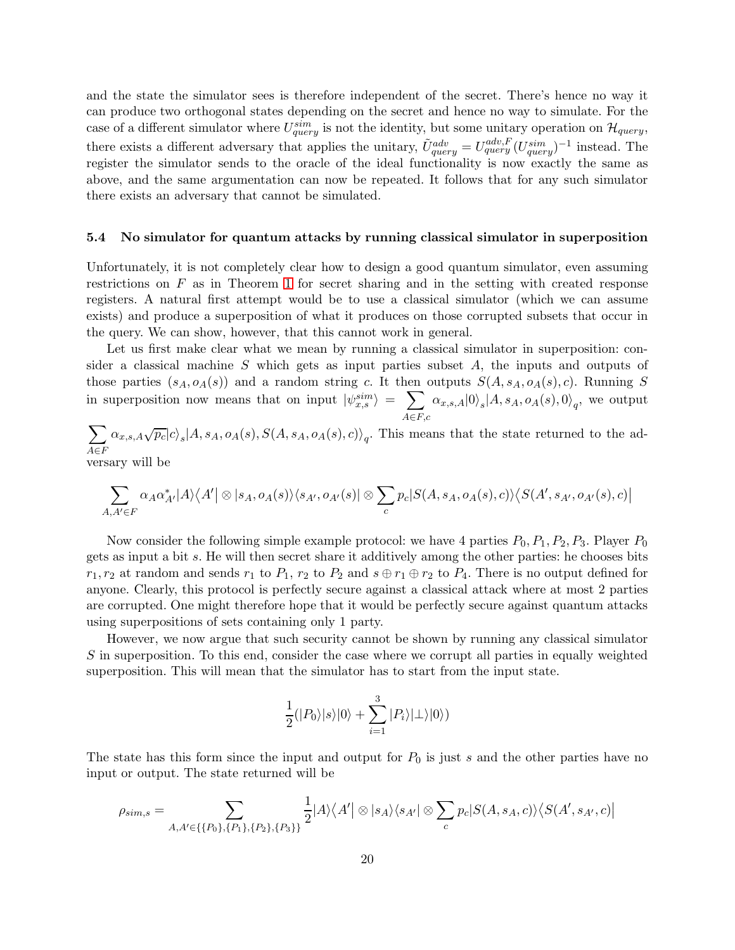and the state the simulator sees is therefore independent of the secret. There's hence no way it can produce two orthogonal states depending on the secret and hence no way to simulate. For the case of a different simulator where  $U_{query}^{sim}$  is not the identity, but some unitary operation on  $\mathcal{H}_{query}$ , there exists a different adversary that applies the unitary,  $\tilde{U}_{query}^{adv} = U_{query}^{adv, F} (U_{query}^{sim})^{-1}$  instead. The register the simulator sends to the oracle of the ideal functionality is now exactly the same as above, and the same argumentation can now be repeated. It follows that for any such simulator there exists an adversary that cannot be simulated.

#### <span id="page-19-0"></span>5.4 No simulator for quantum attacks by running classical simulator in superposition

Unfortunately, it is not completely clear how to design a good quantum simulator, even assuming restrictions on F as in Theorem [1](#page-5-0) for secret sharing and in the setting with created response registers. A natural first attempt would be to use a classical simulator (which we can assume exists) and produce a superposition of what it produces on those corrupted subsets that occur in the query. We can show, however, that this cannot work in general.

Let us first make clear what we mean by running a classical simulator in superposition: consider a classical machine S which gets as input parties subset A, the inputs and outputs of those parties  $(s_A, o_A(s))$  and a random string c. It then outputs  $S(A, s_A, o_A(s), c)$ . Running S in superposition now means that on input  $|\psi_{x,s}^{sim}\rangle = \sum_{\alpha_{x,s,A}} \alpha_{x,s,A} |0\rangle_s |A, s_A, o_A(s), 0\rangle_q$ , we output  $A \in F, c$ 

 $\sum$  $A \in F$  $\alpha_{x,s,A}\sqrt{p_c}|c\rangle_s|A, s_A, o_A(s), S(A, s_A, o_A(s), c)\rangle_q$ . This means that the state returned to the adversary will be

$$
\sum_{A,A'\in F} \alpha_A \alpha_{A'}^*|A\rangle\langle A'|\otimes |s_A,o_A(s)\rangle\langle s_{A'},o_{A'}(s)|\otimes \sum_c p_c|S(A,s_A,o_A(s),c)\rangle\langle S(A',s_{A'},o_{A'}(s),c)|
$$

Now consider the following simple example protocol: we have 4 parties  $P_0, P_1, P_2, P_3$ . Player  $P_0$ gets as input a bit s. He will then secret share it additively among the other parties: he chooses bits  $r_1, r_2$  at random and sends  $r_1$  to  $P_1, r_2$  to  $P_2$  and  $s \oplus r_1 \oplus r_2$  to  $P_4$ . There is no output defined for anyone. Clearly, this protocol is perfectly secure against a classical attack where at most 2 parties are corrupted. One might therefore hope that it would be perfectly secure against quantum attacks using superpositions of sets containing only 1 party.

However, we now argue that such security cannot be shown by running any classical simulator S in superposition. To this end, consider the case where we corrupt all parties in equally weighted superposition. This will mean that the simulator has to start from the input state.

$$
\frac{1}{2}(|P_0\rangle|s\rangle|0\rangle+\sum_{i=1}^3|P_i\rangle|\bot\rangle|0\rangle)
$$

The state has this form since the input and output for  $P_0$  is just s and the other parties have no input or output. The state returned will be

$$
\rho_{sim,s} = \sum_{A,A' \in \{\{P_0\},\{P_1\},\{P_2\},\{P_3\}\}} \frac{1}{2} |A\rangle \langle A' | \otimes |s_A\rangle \langle s_{A'}| \otimes \sum_c p_c |S(A,s_A,c)\rangle \langle S(A',s_{A'},c)|
$$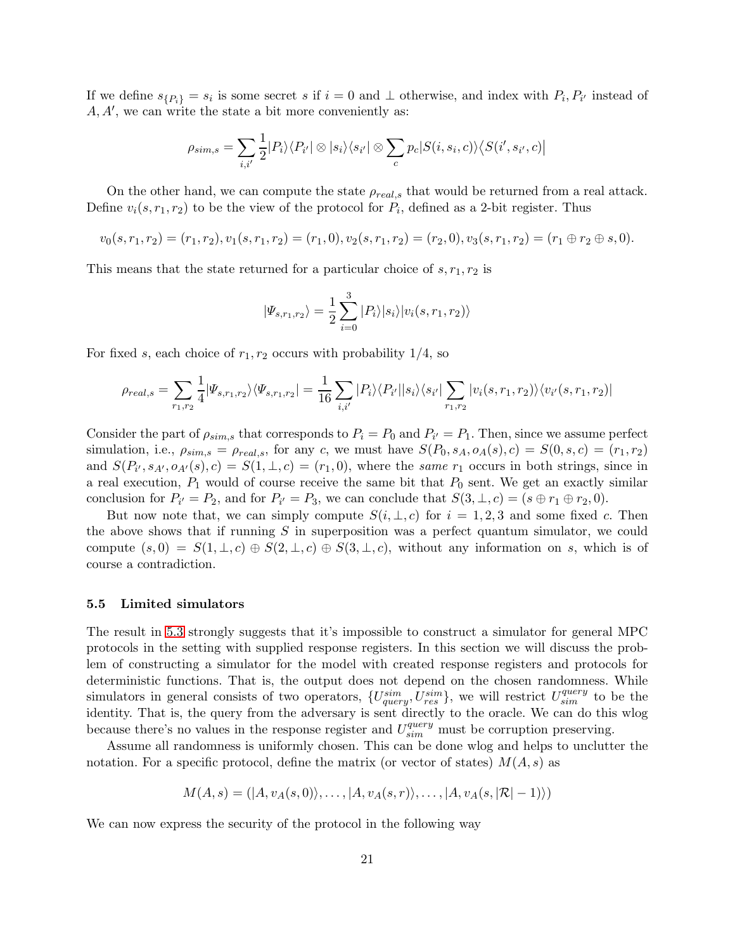If we define  $s_{\{P_i\}} = s_i$  is some secret s if  $i = 0$  and  $\perp$  otherwise, and index with  $P_i, P_{i'}$  instead of A, A′ , we can write the state a bit more conveniently as:

$$
\rho_{sim,s} = \sum_{i,i'} \frac{1}{2} |P_i\rangle\langle P_{i'}| \otimes |s_i\rangle\langle s_{i'}| \otimes \sum_c p_c |S(i,s_i,c)\rangle\langle S(i',s_{i'},c)|
$$

On the other hand, we can compute the state  $\rho_{real,s}$  that would be returned from a real attack. Define  $v_i(s, r_1, r_2)$  to be the view of the protocol for  $P_i$ , defined as a 2-bit register. Thus

$$
v_0(s,r_1,r_2)=(r_1,r_2), v_1(s,r_1,r_2)=(r_1,0), v_2(s,r_1,r_2)=(r_2,0), v_3(s,r_1,r_2)=(r_1\oplus r_2\oplus s,0).
$$

This means that the state returned for a particular choice of  $s, r_1, r_2$  is

$$
|\Psi_{s,r_1,r_2}\rangle = \frac{1}{2} \sum_{i=0}^{3} |P_i\rangle |s_i\rangle |v_i(s,r_1,r_2)\rangle
$$

For fixed s, each choice of  $r_1, r_2$  occurs with probability  $1/4$ , so

$$
\rho_{real,s} = \sum_{r_1,r_2} \frac{1}{4} |\Psi_{s,r_1,r_2}\rangle\langle\Psi_{s,r_1,r_2}| = \frac{1}{16} \sum_{i,i'} |P_i\rangle\langle P_{i'}||s_i\rangle\langle s_{i'}|\sum_{r_1,r_2} |v_i(s,r_1,r_2)\rangle\langle v_{i'}(s,r_1,r_2)|
$$

Consider the part of  $\rho_{sim,s}$  that corresponds to  $P_i = P_0$  and  $P_{i'} = P_1$ . Then, since we assume perfect simulation, i.e.,  $\rho_{sim,s} = \rho_{real,s}$ , for any c, we must have  $S(P_0, s_A, o_A(s), c) = S(0, s, c) = (r_1, r_2)$ and  $S(P_{i'}, s_{A'}, o_{A'}(s), c) = S(1, \perp, c) = (r_1, 0)$ , where the same  $r_1$  occurs in both strings, since in a real execution,  $P_1$  would of course receive the same bit that  $P_0$  sent. We get an exactly similar conclusion for  $P_{i'} = P_2$ , and for  $P_{i'} = P_3$ , we can conclude that  $S(3, \perp, c) = (s \oplus r_1 \oplus r_2, 0)$ .

But now note that, we can simply compute  $S(i, \perp, c)$  for  $i = 1, 2, 3$  and some fixed c. Then the above shows that if running  $S$  in superposition was a perfect quantum simulator, we could compute  $(s, 0) = S(1, \perp, c) \oplus S(2, \perp, c) \oplus S(3, \perp, c)$ , without any information on s, which is of course a contradiction.

#### 5.5 Limited simulators

The result in [5.3](#page-18-0) strongly suggests that it's impossible to construct a simulator for general MPC protocols in the setting with supplied response registers. In this section we will discuss the problem of constructing a simulator for the model with created response registers and protocols for deterministic functions. That is, the output does not depend on the chosen randomness. While simulators in general consists of two operators,  $\{U^{sim}_{query}, U^{sim}_{res}\}$ , we will restrict  $U^{query}_{sim}$  to be the identity. That is, the query from the adversary is sent directly to the oracle. We can do this wlog because there's no values in the response register and  $U_{sim}^{query}$  must be corruption preserving.

Assume all randomness is uniformly chosen. This can be done wlog and helps to unclutter the notation. For a specific protocol, define the matrix (or vector of states)  $M(A, s)$  as

<span id="page-20-0"></span>
$$
M(A,s) = (|A, v_A(s,0)\rangle, \ldots, |A, v_A(s,r)\rangle, \ldots, |A, v_A(s,|\mathcal{R}|-1)\rangle)
$$

We can now express the security of the protocol in the following way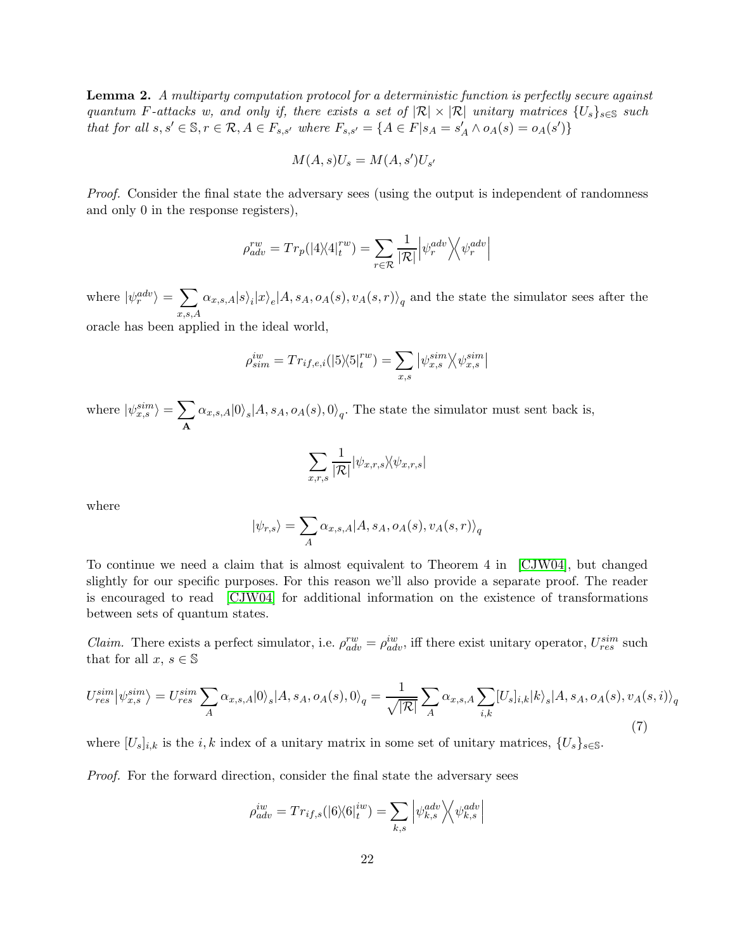Lemma 2. A multiparty computation protocol for a deterministic function is perfectly secure against quantum F-attacks w, and only if, there exists a set of  $|\mathcal{R}| \times |\mathcal{R}|$  unitary matrices  $\{U_s\}_{s\in\mathbb{S}}$  such that for all  $s, s' \in \mathbb{S}, r \in \mathcal{R}, A \in F_{s,s'}$  where  $F_{s,s'} = \{A \in F | s_A = s'_A \land o_A(s) = o_A(s')\}$ 

$$
M(A,s)U_s = M(A,s')U_{s'}
$$

Proof. Consider the final state the adversary sees (using the output is independent of randomness and only 0 in the response registers),

$$
\rho_{adv}^{rw} = Tr_p(|4\rangle\langle 4|_t^{rw}) = \sum_{r \in \mathcal{R}} \frac{1}{|\mathcal{R}|} |\psi_r^{adv} \rangle \langle \psi_r^{adv}|
$$

where  $|\psi_r^{adv}\rangle = \sum$  $_{x,s,A}$  $\alpha_{x,s,A}|s\rangle_i|x\rangle_e|A, s_A, o_A(s), v_A(s,r)\rangle_q$  and the state the simulator sees after the

oracle has been applied in the ideal world,

$$
\rho_{sim}^{iw} = Tr_{if,e,i}(|5\rangle\langle 5|_t^{rw}) = \sum_{x,s} |\psi_{x,s}^{sim}\rangle\langle \psi_{x,s}^{sim}|
$$

where  $|\psi_{x,s}^{sim}\rangle = \sum$  $\sum_{\mathbf{A}} \alpha_{x,s,A} |0\rangle_s |A, s_A, o_A(s), 0\rangle_q$ . The state the simulator must sent back is,

$$
\sum_{x,r,s}\frac{1}{|\mathcal{R}|}|\psi_{x,r,s}\rangle\!\langle\psi_{x,r,s}|
$$

where

$$
|\psi_{r,s}\rangle = \sum_{A} \alpha_{x,s,A} |A, s_A, o_A(s), v_A(s,r)\rangle_q
$$

To continue we need a claim that is almost equivalent to Theorem 4 in [\[CJW04\]](#page-28-6), but changed slightly for our specific purposes. For this reason we'll also provide a separate proof. The reader is encouraged to read [\[CJW04\]](#page-28-6) for additional information on the existence of transformations between sets of quantum states.

*Claim.* There exists a perfect simulator, i.e.  $\rho_{adv}^{rw} = \rho_{adv}^{iw}$ , iff there exist unitary operator,  $U_{res}^{sim}$  such that for all  $x, s \in \mathbb{S}$ 

<span id="page-21-0"></span>
$$
U_{res}^{sim} |\psi_{x,s}^{sim}\rangle = U_{res}^{sim} \sum_{A} \alpha_{x,s,A} |0\rangle_{s} |A, s_{A}, o_{A}(s), 0\rangle_{q} = \frac{1}{\sqrt{|\mathcal{R}|}} \sum_{A} \alpha_{x,s,A} \sum_{i,k} [U_{s}]_{i,k} |k\rangle_{s} |A, s_{A}, o_{A}(s), v_{A}(s,i)\rangle_{q}
$$
(7)

where  $[U_s]_{i,k}$  is the  $i, k$  index of a unitary matrix in some set of unitary matrices,  $\{U_s\}_{s\in\mathbb{S}}$ .

Proof. For the forward direction, consider the final state the adversary sees

$$
\rho_{adv}^{iw} = Tr_{if,s}(|6\rangle\langle 6|_t^{iw}) = \sum_{k,s} \left| \psi_{k,s}^{adv} \right\rangle\!\left\langle \psi_{k,s}^{adv} \right|
$$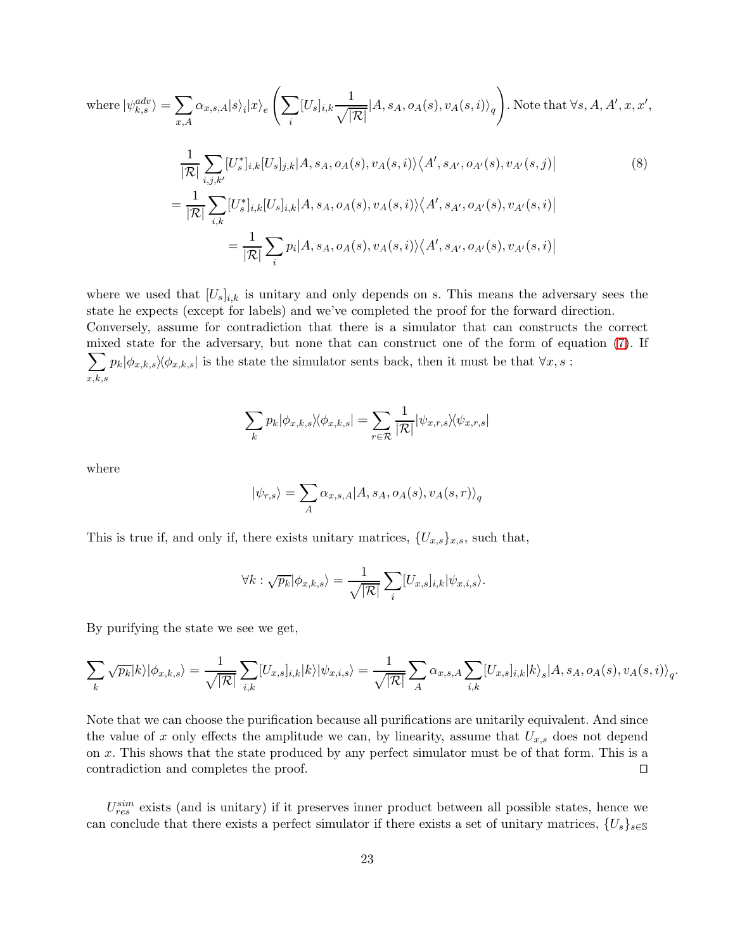<span id="page-22-0"></span>where 
$$
|\psi_{k,s}^{adv}\rangle = \sum_{x,A} \alpha_{x,s,A} |s\rangle_i |x\rangle_e \left( \sum_i [U_s]_{i,k} \frac{1}{\sqrt{|\mathcal{R}|}} |A, s_A, o_A(s), v_A(s, i)\rangle_q \right)
$$
. Note that  $\forall s, A, A', x, x',$   
\n
$$
\frac{1}{|\mathcal{R}|} \sum_{i,j,k'} [U_s^*]_{i,k} [U_s]_{j,k} |A, s_A, o_A(s), v_A(s, i)\rangle \langle A', s_{A'}, o_{A'}(s), v_{A'}(s, j)|
$$
\n
$$
= \frac{1}{|\mathcal{R}|} \sum_{i,k} [U_s^*]_{i,k} [U_s]_{i,k} |A, s_A, o_A(s), v_A(s, i)\rangle \langle A', s_{A'}, o_{A'}(s), v_{A'}(s, i)|
$$
\n
$$
= \frac{1}{|\mathcal{R}|} \sum_i p_i |A, s_A, o_A(s), v_A(s, i)\rangle \langle A', s_{A'}, o_{A'}(s), v_{A'}(s, i)|
$$
\n(8)

where we used that  $[U_s]_{i,k}$  is unitary and only depends on s. This means the adversary sees the state he expects (except for labels) and we've completed the proof for the forward direction. Conversely, assume for contradiction that there is a simulator that can constructs the correct mixed state for the adversary, but none that can construct on e of the form of equation [\(7\)](#page-21-0). If  $\sum$  $_{x,k,s}$  $p_k|\phi_{x,k,s}\rangle\langle\phi_{x,k,s}|$  is the state the simulator sents back, then it must be that  $\forall x, s$  :

$$
\sum_{k} p_{k} |\phi_{x,k,s}\rangle\langle\phi_{x,k,s}| = \sum_{r \in \mathcal{R}} \frac{1}{|\mathcal{R}|} |\psi_{x,r,s}\rangle\langle\psi_{x,r,s}|
$$

where

$$
|\psi_{r,s}\rangle = \sum_{A} \alpha_{x,s,A} |A, s_A, o_A(s), v_A(s,r)\rangle_q
$$

This is true if, and only if, there exists unitary matrices,  $\{U_{x,s}\}_{x,s}$ , such that,

$$
\forall k : \sqrt{p_k} | \phi_{x,k,s} \rangle = \frac{1}{\sqrt{|\mathcal{R}|}} \sum_i [U_{x,s}]_{i,k} | \psi_{x,i,s} \rangle.
$$

By purifying the state we see we get,

$$
\sum_{k} \sqrt{p_k} |k\rangle |\phi_{x,k,s}\rangle = \frac{1}{\sqrt{|\mathcal{R}|}} \sum_{i,k} [U_{x,s}]_{i,k} |k\rangle |\psi_{x,i,s}\rangle = \frac{1}{\sqrt{|\mathcal{R}|}} \sum_{A} \alpha_{x,s,A} \sum_{i,k} [U_{x,s}]_{i,k} |k\rangle_s |A, s_A, o_A(s), v_A(s,i)\rangle_q
$$

.

Note that we can choose the purification because all purifications are unitarily equivalent. And since the value of x only effects the amplitude we can, by linearity, assume that  $U_{x,s}$  does not depend on x. This shows that the state produced by any perfect simulator must be of that form. This is a contradiction and completes the proof. ⊓⊔

 $U_{res}^{sim}$  exists (and is unitary) if it preserves inner product between all possible states, hence we can conclude that there exists a perfect simulator if there exists a set of unitary matrices,  $\{U_s\}_{s\in\mathbb{S}}$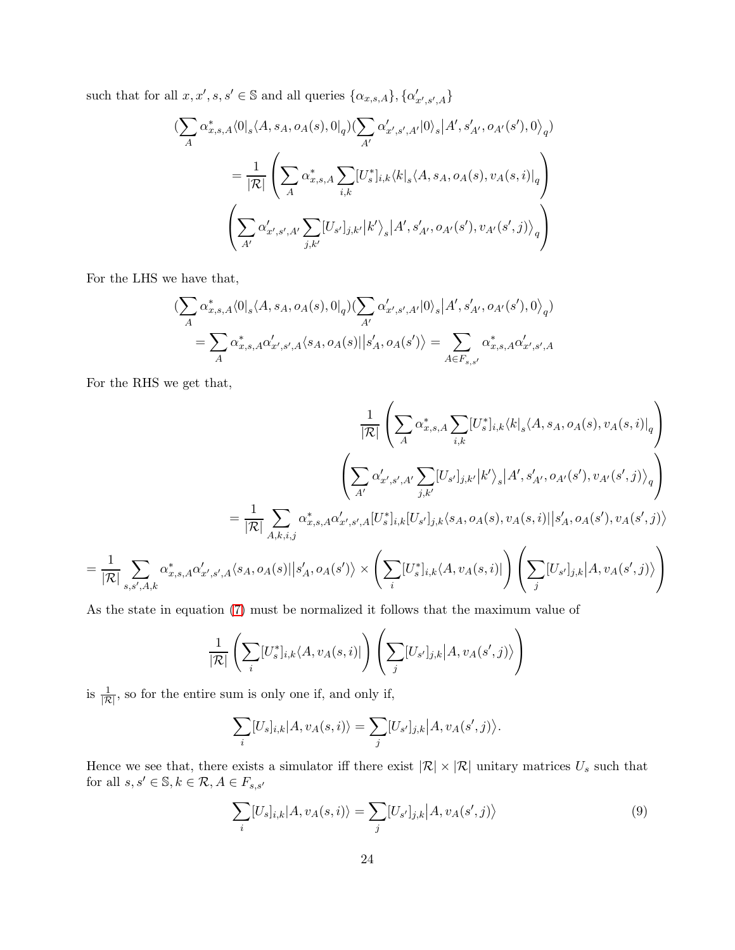such that for all  $x, x', s, s' \in \mathbb{S}$  and all queries  $\{\alpha_{x,s,A}\}, \{\alpha'_{x',s',A}\}$ 

$$
\begin{split} \bigl(\sum_{A}\alpha_{x,s,A}^{*}\langle 0|_{s}\langle A,s_{A},o_{A}(s),0|_{q}\rangle&(\sum_{A'}\alpha_{x',s',A'}'|0\rangle_{s}\bigl|A',s'_{A'},o_{A'}(s'),0\rangle_{q})\\ &=\frac{1}{|\mathcal{R}|}\left(\sum_{A}\alpha_{x,s,A}^{*}\sum_{i,k}[U_{s}^{*}]_{i,k}\langle k|_{s}\langle A,s_{A},o_{A}(s),v_{A}(s,i)|_{q}\right)\\ &\left(\sum_{A'}\alpha_{x',s',A'}'\sum_{j,k'}[U_{s'}]_{j,k'}\bigl|k'\right\rangle_{s}\bigl|A',s'_{A'},o_{A'}(s'),v_{A'}(s',j)\rangle_{q}\right) \end{split}
$$

For the LHS we have that,

$$
\begin{split} &(\sum_{A}\alpha_{x,s,A}^{*}\langle 0|_{s}\langle A,s_{A},o_{A}(s),0|_{q})(\sum_{A'}\alpha_{x',s',A'}'|0\rangle_{s}\big|A',s'_{A'},o_{A'}(s'),0\rangle_{q})\\ &=\sum_{A}\alpha_{x,s,A}^{*}\alpha_{x',s',A}'\langle s_{A},o_{A}(s)||s'_{A},o_{A}(s')\rangle=\sum_{A\in F_{s,s'}}\alpha_{x,s,A}^{*}\alpha_{x',s',A}' \end{split}
$$

For the RHS we get that,

$$
\frac{1}{|\mathcal{R}|} \left( \sum_{A} \alpha_{x,s,A}^{*} \sum_{i,k} [U_{s}^{*}]_{i,k} \langle k|_{s} \langle A, s_{A}, o_{A}(s), v_{A}(s,i)|_{q} \right)
$$
\n
$$
\left( \sum_{A'} \alpha_{x',s',A'}' \sum_{j,k'} [U_{s'}]_{j,k'} |k'\rangle_{s} |A', s'_{A'}, o_{A'}(s'), v_{A'}(s',j)\rangle_{q} \right)
$$
\n
$$
= \frac{1}{|\mathcal{R}|} \sum_{A,k,i,j} \alpha_{x,s,A}^{*} \alpha_{x',s',A}^{\prime} [U_{s}^{*}]_{i,k} [U_{s'}]_{j,k} \langle s_{A}, o_{A}(s), v_{A}(s,i)| |s'_{A}, o_{A}(s'), v_{A}(s',j)\rangle
$$
\n
$$
= \frac{1}{|\mathcal{R}|} \sum_{s,s',A,k} \alpha_{x,s,A}^{*} \alpha_{x',s',A}^{\prime} \langle s_{A}, o_{A}(s)| |s'_{A}, o_{A}(s')\rangle \times \left( \sum_{i} [U_{s}^{*}]_{i,k} \langle A, v_{A}(s,i)| \right) \left( \sum_{j} [U_{s'}]_{j,k} |A, v_{A}(s',j)\rangle \right)
$$

As the state in equation [\(7\)](#page-21-0) must be normalized it follows that the maximum value of

$$
\frac{1}{|\mathcal{R}|} \left( \sum_{i} [U_s^*]_{i,k} \langle A, v_A(s, i) | \right) \left( \sum_{j} [U_{s'}]_{j,k} | A, v_A(s', j) \rangle \right)
$$

is  $\frac{1}{|\mathcal{R}|}$ , so for the entire sum is only one if, and only if,

$$
\sum_{i} [U_s]_{i,k} |A, v_A(s, i)\rangle = \sum_{j} [U_{s'}]_{j,k} |A, v_A(s', j)\rangle.
$$

Hence we see that, there exists a simulator iff there exist  $|\mathcal{R}| \times |\mathcal{R}|$  unitary matrices  $U_s$  such that for all  $s,s'\in\mathbb{S}, k\in\mathcal{R}, A\in F_{s,s'}$ 

<span id="page-23-0"></span>
$$
\sum_{i} [U_s]_{i,k} |A, v_A(s, i)\rangle = \sum_{j} [U_{s'}]_{j,k} |A, v_A(s', j)\rangle \tag{9}
$$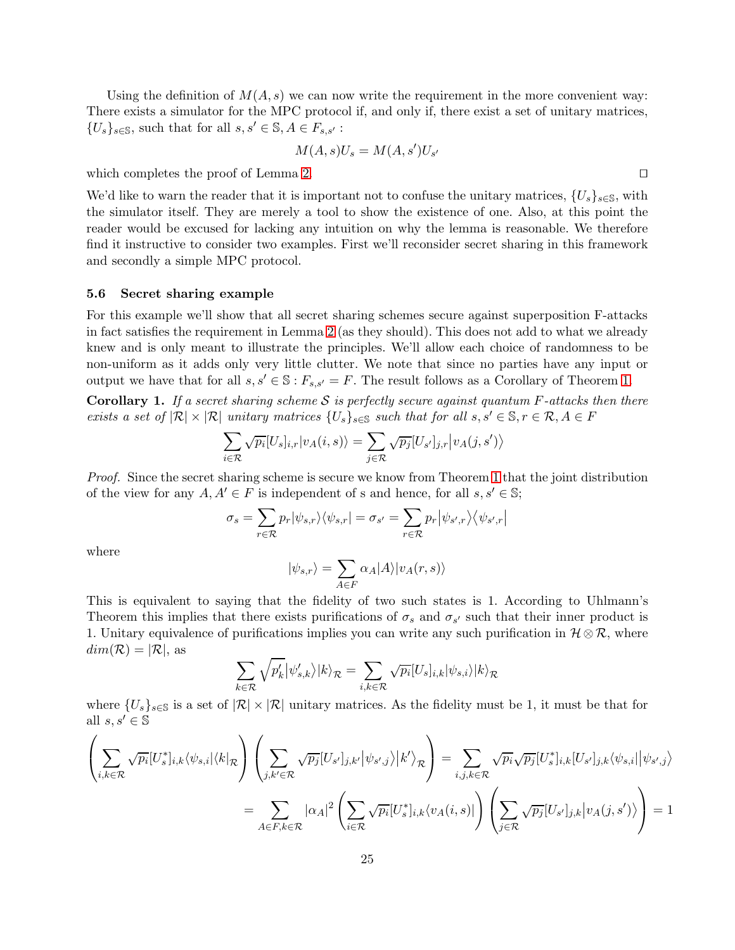Using the definition of  $M(A, s)$  we can now write the requirement in the more convenient way: There exists a simulator for the MPC protocol if, and only if, there exist a set of unitary matrices,  $\{U_s\}_{s\in\mathbb{S}}$ , such that for all  $s, s' \in \mathbb{S}, A \in F_{s,s'}$ :

$$
M(A,s)U_s = M(A,s')U_{s'}
$$

which completes the proof of Lemma [2.](#page-20-0) □

We'd like to warn the reader that it is important not to confuse the unitary matrices,  $\{U_s\}_{s\in\mathbb{S}}$ , with the simulator itself. They are merely a tool to show the existence of one. Also, at this point the reader would be excused for lacking any intuition on why the lemma is reasonable. We therefore find it instructive to consider two examples. First we'll reconsider secret sharing in this framework and secondly a simple MPC protocol.

#### 5.6 Secret sharing example

For this example we'll show that all secret sharing schemes secure against superposition F-attacks in fact satisfies the requirement in Lemma [2](#page-20-0) (as they should). This does not add to what we already knew and is only meant to illustrate the principles. We'll allow each choice of randomness to be non-uniform as it adds only very little clutter. We note that since no parties have any input or output we have that for all  $s, s' \in \mathbb{S} : F_{s,s'} = F$ . The result follows as a Corollary of Theorem [1.](#page-5-0)

**Corollary 1.** If a secret sharing scheme S is perfectly secure against quantum F-attacks then there exists a set of  $|\mathcal{R}| \times |\mathcal{R}|$  unitary matrices  $\{U_s\}_{s\in \mathbb{S}}$  such that for all  $s, s' \in \mathbb{S}, r \in \mathcal{R}, A \in F$ 

$$
\sum_{i \in \mathcal{R}} \sqrt{p_i} [U_s]_{i,r} |v_A(i,s)\rangle = \sum_{j \in \mathcal{R}} \sqrt{p_j} [U_{s'}]_{j,r} |v_A(j,s')\rangle
$$

Proof. Since the secret sharing scheme is secure we know from Theorem [1](#page-5-0) that the joint distribution of the view for any  $A, A' \in F$  is independent of s and hence, for all  $s, s' \in \mathbb{S}$ ;

$$
\sigma_s = \sum_{r \in \mathcal{R}} p_r |\psi_{s,r}\rangle\langle\psi_{s,r}| = \sigma_{s'} = \sum_{r \in \mathcal{R}} p_r |\psi_{s',r}\rangle\langle\psi_{s',r}|
$$

where

$$
|\psi_{s,r}\rangle = \sum_{A \in F} \alpha_A |A\rangle |v_A(r,s)\rangle
$$

This is equivalent to saying that the fidelity of two such states is 1. According to Uhlmann's Theorem this implies that there exists purifications of  $\sigma_s$  and  $\sigma_{s'}$  such that their inner product is 1. Unitary equivalence of purifications implies you can write any such purification in  $\mathcal{H} \otimes \mathcal{R}$ , where  $dim(\mathcal{R}) = |\mathcal{R}|$ , as

$$
\sum_{k \in \mathcal{R}} \sqrt{p'_k} |\psi'_{s,k}\rangle |k\rangle_{\mathcal{R}} = \sum_{i,k \in \mathcal{R}} \sqrt{p_i} [U_s]_{i,k} |\psi_{s,i}\rangle |k\rangle_{\mathcal{R}}
$$

where  $\{U_s\}_{s\in\mathbb{S}}$  is a set of  $|\mathcal{R}|\times|\mathcal{R}|$  unitary matrices. As the fidelity must be 1, it must be that for all  $s, s' \in \mathbb{S}$ 

$$
\left(\sum_{i,k\in\mathcal{R}}\sqrt{p_i}[U_s^*]_{i,k}\langle\psi_{s,i}|\langle k|_{\mathcal{R}}\right)\left(\sum_{j,k'\in\mathcal{R}}\sqrt{p_j}[U_{s'}]_{j,k'}\big|\psi_{s',j}\rangle\big|k'\rangle_{\mathcal{R}}\right) = \sum_{i,j,k\in\mathcal{R}}\sqrt{p_i}\sqrt{p_j}[U_s^*]_{i,k}[U_{s'}]_{j,k}\langle\psi_{s,i}|\big|\psi_{s',j}\rangle
$$
\n
$$
=\sum_{A\in F,k\in\mathcal{R}}|\alpha_A|^2\left(\sum_{i\in\mathcal{R}}\sqrt{p_i}[U_s^*]_{i,k}\langle v_A(i,s)|\right)\left(\sum_{j\in\mathcal{R}}\sqrt{p_j}[U_{s'}]_{j,k}\big|v_A(j,s')\rangle\right) = 1
$$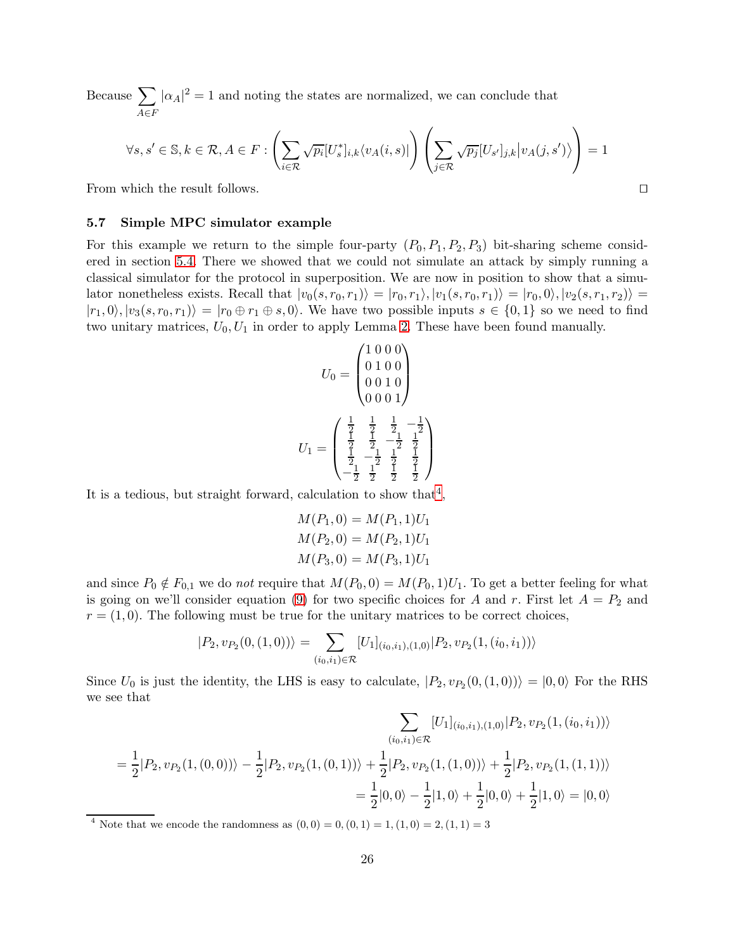Because  $\sum$  $A \in F$  $|\alpha_A|^2 = 1$  and noting the states are normalized, we can conclude that

$$
\forall s,s' \in \mathbb{S}, k \in \mathcal{R}, A \in F : \left(\sum_{i \in \mathcal{R}} \sqrt{p_i} [U_s^*]_{i,k} \langle v_A(i,s)|\right) \left(\sum_{j \in \mathcal{R}} \sqrt{p_j} [U_{s'}]_{j,k} \big| v_A(j,s') \rangle \right) = 1
$$

From which the result follows. ⊓⊔

#### 5.7 Simple MPC simulator example

For this example we return to the simple four-party  $(P_0, P_1, P_2, P_3)$  bit-sharing scheme considered in section [5.4.](#page-19-0) There we showed that we could not simulate an attack by simply running a classical simulator for the protocol in superposition. We are now in position to show that a simulator nonetheless exists. Recall that  $|v_0(s, r_0, r_1)\rangle = |r_0, r_1\rangle, |v_1(s, r_0, r_1)\rangle = |r_0, 0\rangle, |v_2(s, r_1, r_2)\rangle =$  $|r_1, 0\rangle, |v_3(s, r_0, r_1)\rangle = |r_0 \oplus r_1 \oplus s, 0\rangle$ . We have two possible inputs  $s \in \{0, 1\}$  so we need to find two unitary matrices,  $U_0, U_1$  in order to apply Lemma [2.](#page-20-0) These have been found manually.

$$
U_0 = \begin{pmatrix} 1 & 0 & 0 & 0 \\ 0 & 1 & 0 & 0 \\ 0 & 0 & 1 & 0 \\ 0 & 0 & 0 & 1 \end{pmatrix}
$$

$$
U_1 = \begin{pmatrix} \frac{1}{2} & \frac{1}{2} & \frac{1}{2} & -\frac{1}{2} \\ \frac{1}{2} & \frac{1}{2} & -\frac{1}{2} & \frac{1}{2} \\ \frac{1}{2} & -\frac{1}{2} & \frac{1}{2} & \frac{1}{2} \\ -\frac{1}{2} & \frac{1}{2} & \frac{1}{2} & \frac{1}{2} \end{pmatrix}
$$

It is a tedious, but straight forward, calculation to show that<sup>[4](#page-25-0)</sup>,

$$
M(P_1, 0) = M(P_1, 1)U_1
$$
  
 
$$
M(P_2, 0) = M(P_2, 1)U_1
$$
  
 
$$
M(P_3, 0) = M(P_3, 1)U_1
$$

and since  $P_0 \notin F_{0,1}$  we do not require that  $M(P_0, 0) = M(P_0, 1)U_1$ . To get a better feeling for what is going on we'll consider equation [\(9\)](#page-23-0) for two specific choices for A and r. First let  $A = P_2$  and  $r = (1, 0)$ . The following must be true for the unitary matrices to be correct choices,

$$
|P_2, v_{P_2}(0, (1,0))\rangle = \sum_{(i_0, i_1) \in \mathcal{R}} [U_1]_{(i_0, i_1), (1,0)} |P_2, v_{P_2}(1, (i_0, i_1))\rangle
$$

Since  $U_0$  is just the identity, the LHS is easy to calculate,  $|P_2, v_{P_2}(0,(1,0))\rangle = |0,0\rangle$  For the RHS we see that

$$
\sum_{(i_0, i_1) \in \mathcal{R}} [U_1]_{(i_0, i_1), (1,0)} | P_2, v_{P_2}(1, (i_0, i_1)) \rangle
$$
  
=  $\frac{1}{2} | P_2, v_{P_2}(1, (0,0)) \rangle - \frac{1}{2} | P_2, v_{P_2}(1, (0,1)) \rangle + \frac{1}{2} | P_2, v_{P_2}(1, (1,0)) \rangle + \frac{1}{2} | P_2, v_{P_2}(1, (1,1)) \rangle$   
=  $\frac{1}{2} | 0, 0 \rangle - \frac{1}{2} | 1, 0 \rangle + \frac{1}{2} | 0, 0 \rangle + \frac{1}{2} | 1, 0 \rangle = | 0, 0 \rangle$ 

<span id="page-25-0"></span><sup>4</sup> Note that we encode the randomness as  $(0,0) = 0$ ,  $(0, 1) = 1$ ,  $(1, 0) = 2$ ,  $(1, 1) = 3$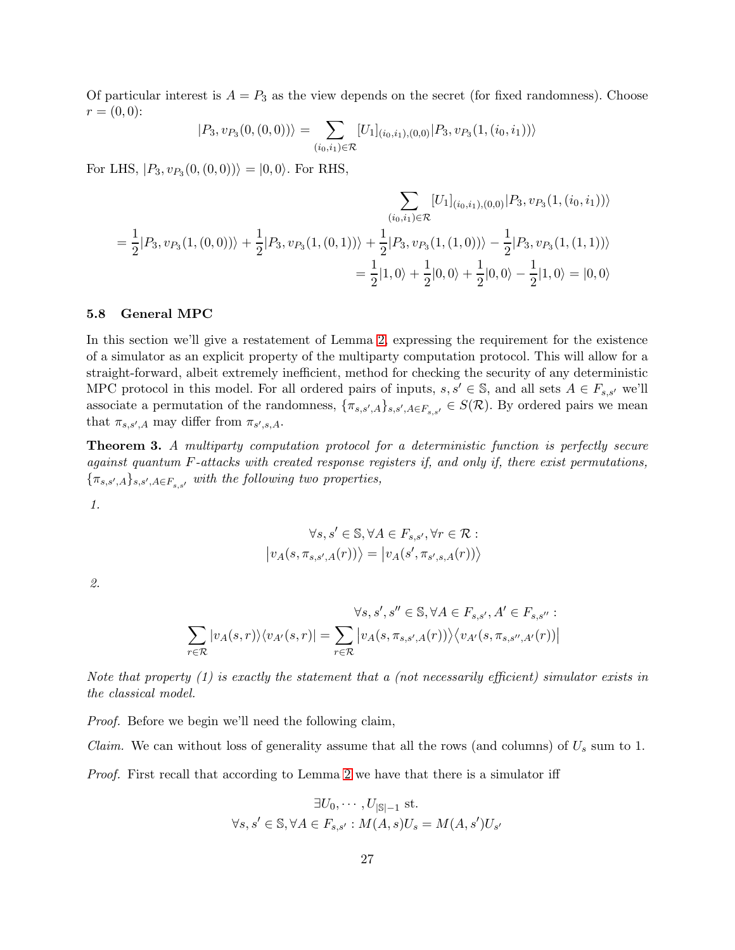Of particular interest is  $A = P_3$  as the view depends on the secret (for fixed randomness). Choose  $r = (0, 0)$ :

$$
|P_3, v_{P_3}(0, (0, 0))\rangle = \sum_{(i_0, i_1) \in \mathcal{R}} [U_1]_{(i_0, i_1), (0, 0)} |P_3, v_{P_3}(1, (i_0, i_1))\rangle
$$

For LHS,  $|P_3, v_{P_3}(0, (0, 0))\rangle = |0, 0\rangle$ . For RHS,

$$
\sum_{(i_0, i_1) \in \mathcal{R}} [U_1]_{(i_0, i_1), (0,0)} | P_3, v_{P_3}(1, (i_0, i_1)) \rangle
$$
  

$$
= \frac{1}{2} |P_3, v_{P_3}(1, (0,0)) \rangle + \frac{1}{2} |P_3, v_{P_3}(1, (0,1)) \rangle + \frac{1}{2} |P_3, v_{P_3}(1, (1,0)) \rangle - \frac{1}{2} |P_3, v_{P_3}(1, (1,1)) \rangle
$$
  

$$
= \frac{1}{2} |1, 0 \rangle + \frac{1}{2} |0, 0 \rangle + \frac{1}{2} |0, 0 \rangle - \frac{1}{2} |1, 0 \rangle = |0, 0 \rangle
$$

#### 5.8 General MPC

In this section we'll give a restatement of Lemma [2,](#page-20-0) expressing the requirement for the existence of a simulator as an explicit property of the multiparty computation protocol. This will allow for a straight-forward, albeit extremely inefficient, method for checking the security of any deterministic MPC protocol in this model. For all ordered pairs of inputs,  $s, s' \in \mathbb{S}$ , and all sets  $A \in F_{s,s'}$  we'll associate a permutation of the randomness,  $\{\pi_{s,s',A}\}_{s,s',A\in\mathbb{F}_{s,s'}}\in S(\mathcal{R})$ . By ordered pairs we mean that  $\pi_{s,s',A}$  may differ from  $\pi_{s',s,A}$ .

**Theorem 3.** A multiparty computation protocol for a deterministic function is perfectly secure against quantum  $F$ -attacks with created response registers if, and only if, there exist permutations,  ${\{\pi_{s,s',A}\}_{s,s',A\in F_{s,s'}}}$  with the following two properties,

1.

$$
\forall s, s' \in \mathbb{S}, \forall A \in F_{s,s'}, \forall r \in \mathcal{R} : \big| v_A(s, \pi_{s,s',A}(r)) \big\rangle = \big| v_A(s', \pi_{s',s,A}(r)) \big\rangle
$$

2.

$$
\forall s, s', s'' \in \mathbb{S}, \forall A \in F_{s,s'}, A' \in F_{s,s''} :
$$

$$
\sum_{r \in \mathcal{R}} |v_A(s,r)\rangle \langle v_{A'}(s,r)| = \sum_{r \in \mathcal{R}} \left| v_A(s, \pi_{s,s',A}(r)) \rangle \langle v_{A'}(s, \pi_{s,s'',A'}(r)) \right|
$$

Note that property  $(1)$  is exactly the statement that a (not necessarily efficient) simulator exists in the classical model.

Proof. Before we begin we'll need the following claim,

*Claim.* We can without loss of generality assume that all the rows (and columns) of  $U_s$  sum to 1.

Proof. First recall that according to Lemma [2](#page-20-0) we have that there is a simulator iff

$$
\exists U_0, \cdots, U_{|\mathbb{S}|-1} \text{ st.}
$$
  

$$
\forall s, s' \in \mathbb{S}, \forall A \in F_{s,s'} : M(A,s)U_s = M(A,s')U_{s'}
$$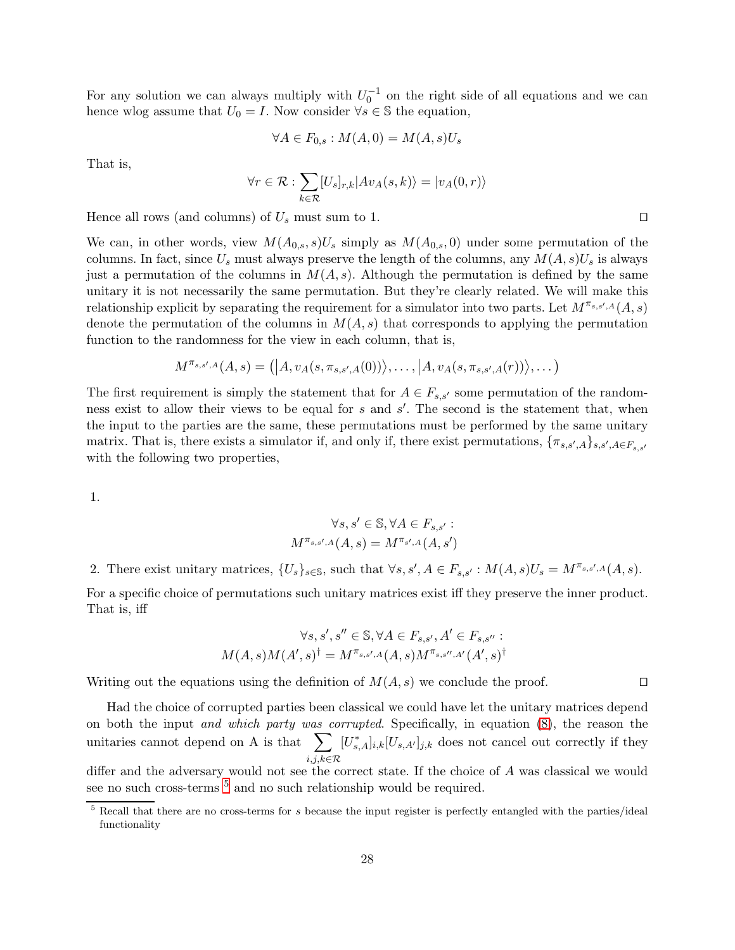For any solution we can always multiply with  $U_0^{-1}$  on the right side of all equations and we can hence wlog assume that  $U_0 = I$ . Now consider  $\forall s \in \mathbb{S}$  the equation,

$$
\forall A \in F_{0,s} : M(A,0) = M(A,s)U_s
$$

That is,

$$
\forall r \in \mathcal{R} : \sum_{k \in \mathcal{R}} [U_s]_{r,k} | Av_A(s,k) \rangle = |v_A(0,r) \rangle
$$

Hence all rows (and columns) of  $U_s$  must sum to 1. □

We can, in other words, view  $M(A_{0,s}, s)U_s$  simply as  $M(A_{0,s}, 0)$  under some permutation of the columns. In fact, since  $U_s$  must always preserve the length of the columns, any  $M(A, s)U_s$  is always just a permutation of the columns in  $M(A, s)$ . Although the permutation is defined by the same unitary it is not necessarily the same permutation. But they're clearly related. We will make this relationship explicit by separating the requirement for a simulator into two parts. Let  $M^{\pi_{s,s',A}}(A, s)$ denote the permutation of the columns in  $M(A, s)$  that corresponds to applying the permutation function to the randomness for the view in each column, that is,

$$
M^{\pi_{s,s',A}}(A,s) = (|A, v_A(s, \pi_{s,s',A}(0))\rangle, \ldots, |A, v_A(s, \pi_{s,s',A}(r))\rangle, \ldots)
$$

The first requirement is simply the statement that for  $A \in F_{s,s'}$  some permutation of the randomness exist to allow their views to be equal for s and s'. The second is the statement that, when the input to the parties are the same, these permutations must be performed by the same unitary matrix. That is, there exists a simulator if, and only if, there exist permutations,  $\{\pi_{s,s',A}\}_{s,s',A\in F_{s,s'}}$ with the following two properties,

1.

$$
\forall s, s' \in \mathbb{S}, \forall A \in F_{s,s'}:
$$
  

$$
M^{\pi_{s,s',A}}(A,s) = M^{\pi_{s',A}}(A,s')
$$

2. There exist unitary matrices,  $\{U_s\}_{s\in\mathbb{S}}$ , such that  $\forall s, s', A \in F_{s,s'} : M(A,s)U_s = M^{\pi_{s,s',A}}(A,s)$ .

For a specific choice of permutations such unitary matrices exist iff they preserve the inner product. That is, iff

$$
\forall s, s', s'' \in \mathbb{S}, \forall A \in F_{s,s'}, A' \in F_{s,s''} :
$$

$$
M(A, s)M(A', s)^{\dagger} = M^{\pi_{s,s',A}}(A, s)M^{\pi_{s,s'',A'}}(A', s)^{\dagger}
$$

Writing out the equations using the definition of  $M(A, s)$  we conclude the proof. □

Had the choice of corrupted parties been classical we could have let the unitary matrices depend on both the input and which party was corrupted. Specifically, in equation [\(8\)](#page-22-0), the reason the unitaries cannot depend on A is that  $\sum$  $_{i,j,k\in\mathcal{R}}$  $[U_{s,A}^*]_{i,k}[U_{s,A'}]_{j,k}$  does not cancel out correctly if they

differ and the adversary would not see the correct state. If the choice of A was classical we would see no such cross-terms <sup>[5](#page-27-0)</sup> and no such relationship would be required.

<span id="page-27-0"></span> $\frac{5}{5}$  Recall that there are no cross-terms for s because the input register is perfectly entangled with the parties/ideal functionality